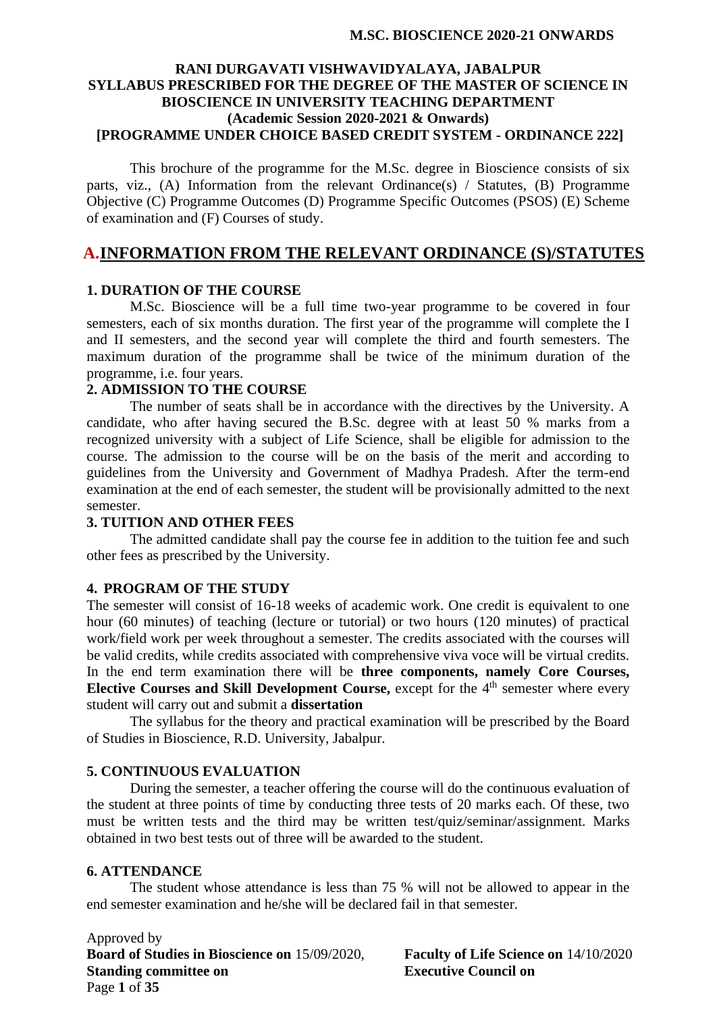#### **RANI DURGAVATI VISHWAVIDYALAYA, JABALPUR SYLLABUS PRESCRIBED FOR THE DEGREE OF THE MASTER OF SCIENCE IN BIOSCIENCE IN UNIVERSITY TEACHING DEPARTMENT (Academic Session 2020-2021 & Onwards) [PROGRAMME UNDER CHOICE BASED CREDIT SYSTEM - ORDINANCE 222]**

This brochure of the programme for the M.Sc. degree in Bioscience consists of six parts, viz., (A) Information from the relevant Ordinance(s) / Statutes, (B) Programme Objective (C) Programme Outcomes (D) Programme Specific Outcomes (PSOS) (E) Scheme of examination and (F) Courses of study.

### **A.INFORMATION FROM THE RELEVANT ORDINANCE (S)/STATUTES**

#### **1. DURATION OF THE COURSE**

M.Sc. Bioscience will be a full time two-year programme to be covered in four semesters, each of six months duration. The first year of the programme will complete the I and II semesters, and the second year will complete the third and fourth semesters. The maximum duration of the programme shall be twice of the minimum duration of the programme, i.e. four years.

# **2. ADMISSION TO THE COURSE**

The number of seats shall be in accordance with the directives by the University. A candidate, who after having secured the B.Sc. degree with at least 50 % marks from a recognized university with a subject of Life Science, shall be eligible for admission to the course. The admission to the course will be on the basis of the merit and according to guidelines from the University and Government of Madhya Pradesh. After the term-end examination at the end of each semester, the student will be provisionally admitted to the next semester.

#### **3. TUITION AND OTHER FEES**

The admitted candidate shall pay the course fee in addition to the tuition fee and such other fees as prescribed by the University.

#### **4. PROGRAM OF THE STUDY**

The semester will consist of 16-18 weeks of academic work. One credit is equivalent to one hour (60 minutes) of teaching (lecture or tutorial) or two hours (120 minutes) of practical work/field work per week throughout a semester. The credits associated with the courses will be valid credits, while credits associated with comprehensive viva voce will be virtual credits. In the end term examination there will be **three components, namely Core Courses, Elective Courses and Skill Development Course,** except for the 4<sup>th</sup> semester where every student will carry out and submit a **dissertation**

The syllabus for the theory and practical examination will be prescribed by the Board of Studies in Bioscience, R.D. University, Jabalpur.

#### **5. CONTINUOUS EVALUATION**

During the semester, a teacher offering the course will do the continuous evaluation of the student at three points of time by conducting three tests of 20 marks each. Of these, two must be written tests and the third may be written test/quiz/seminar/assignment. Marks obtained in two best tests out of three will be awarded to the student.

#### **6. ATTENDANCE**

The student whose attendance is less than 75 % will not be allowed to appear in the end semester examination and he/she will be declared fail in that semester.

Approved by **Board of Studies in Bioscience on** 15/09/2020, **Faculty of Life Science on** 14/10/2020 **Standing committee on Executive Council on** Page **1** of **35**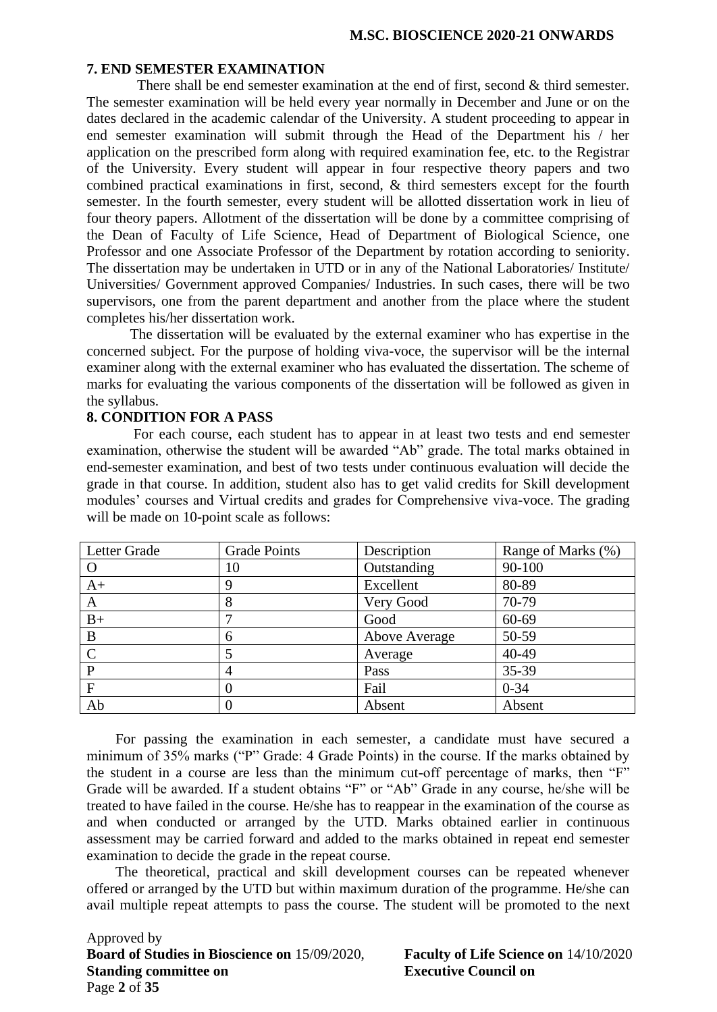#### **7. END SEMESTER EXAMINATION**

There shall be end semester examination at the end of first, second & third semester. The semester examination will be held every year normally in December and June or on the dates declared in the academic calendar of the University. A student proceeding to appear in end semester examination will submit through the Head of the Department his / her application on the prescribed form along with required examination fee, etc. to the Registrar of the University. Every student will appear in four respective theory papers and two combined practical examinations in first, second, & third semesters except for the fourth semester. In the fourth semester, every student will be allotted dissertation work in lieu of four theory papers. Allotment of the dissertation will be done by a committee comprising of the Dean of Faculty of Life Science, Head of Department of Biological Science, one Professor and one Associate Professor of the Department by rotation according to seniority. The dissertation may be undertaken in UTD or in any of the National Laboratories/ Institute/ Universities/ Government approved Companies/ Industries. In such cases, there will be two supervisors, one from the parent department and another from the place where the student completes his/her dissertation work.

The dissertation will be evaluated by the external examiner who has expertise in the concerned subject. For the purpose of holding viva-voce, the supervisor will be the internal examiner along with the external examiner who has evaluated the dissertation. The scheme of marks for evaluating the various components of the dissertation will be followed as given in the syllabus.

#### **8. CONDITION FOR A PASS**

For each course, each student has to appear in at least two tests and end semester examination, otherwise the student will be awarded "Ab" grade. The total marks obtained in end-semester examination, and best of two tests under continuous evaluation will decide the grade in that course. In addition, student also has to get valid credits for Skill development modules' courses and Virtual credits and grades for Comprehensive viva-voce. The grading will be made on 10-point scale as follows:

| Letter Grade | <b>Grade Points</b> | Description   | Range of Marks (%) |
|--------------|---------------------|---------------|--------------------|
| $\Omega$     | 10                  | Outstanding   | 90-100             |
| $A+$         | 9                   | Excellent     | 80-89              |
| A            | 8                   | Very Good     | 70-79              |
| $B+$         |                     | Good          | 60-69              |
| B            | 6                   | Above Average | 50-59              |
| C            |                     | Average       | 40-49              |
| $\mathbf{P}$ |                     | Pass          | 35-39              |
| F            | 0                   | Fail          | $0 - 34$           |
| Ab           |                     | Absent        | Absent             |

For passing the examination in each semester, a candidate must have secured a minimum of 35% marks ("P" Grade: 4 Grade Points) in the course. If the marks obtained by the student in a course are less than the minimum cut-off percentage of marks, then "F" Grade will be awarded. If a student obtains "F" or "Ab" Grade in any course, he/she will be treated to have failed in the course. He/she has to reappear in the examination of the course as and when conducted or arranged by the UTD. Marks obtained earlier in continuous assessment may be carried forward and added to the marks obtained in repeat end semester examination to decide the grade in the repeat course.

The theoretical, practical and skill development courses can be repeated whenever offered or arranged by the UTD but within maximum duration of the programme. He/she can avail multiple repeat attempts to pass the course. The student will be promoted to the next

Approved by **Board of Studies in Bioscience on** 15/09/2020, **Faculty of Life Science on** 14/10/2020 **Standing committee on Executive Council on** Page **2** of **35**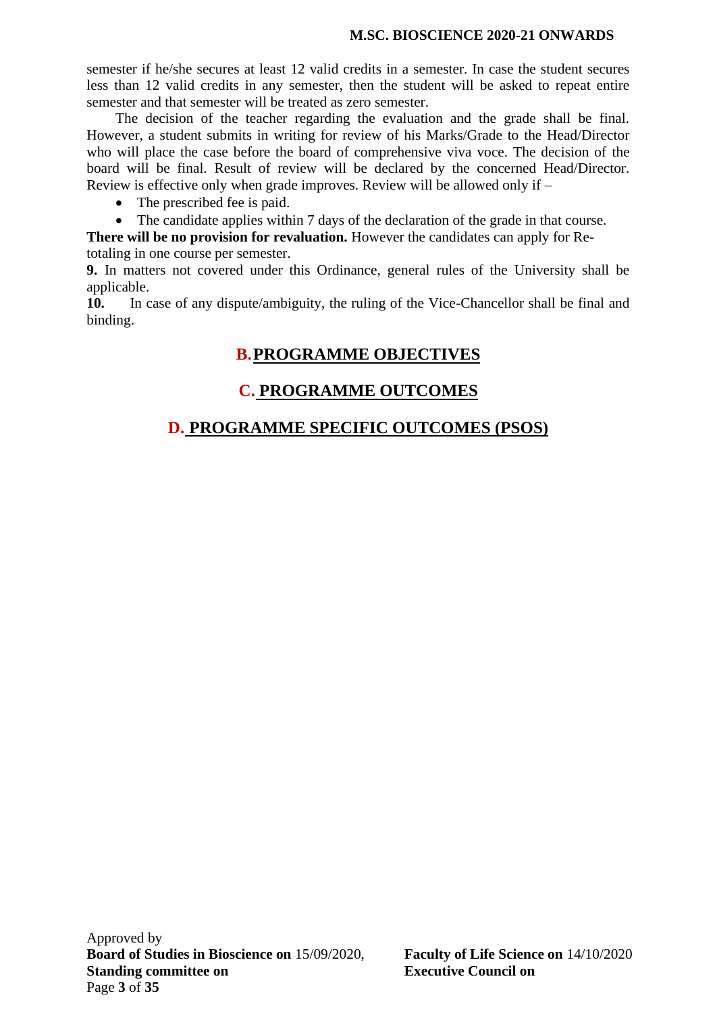semester if he/she secures at least 12 valid credits in a semester. In case the student secures less than 12 valid credits in any semester, then the student will be asked to repeat entire semester and that semester will be treated as zero semester.

The decision of the teacher regarding the evaluation and the grade shall be final. However, a student submits in writing for review of his Marks/Grade to the Head/Director who will place the case before the board of comprehensive viva voce. The decision of the board will be final. Result of review will be declared by the concerned Head/Director. Review is effective only when grade improves. Review will be allowed only if –

- The prescribed fee is paid.
- The candidate applies within 7 days of the declaration of the grade in that course.

**There will be no provision for revaluation.** However the candidates can apply for Re-

totaling in one course per semester.

**9.** In matters not covered under this Ordinance, general rules of the University shall be applicable.

**10.** In case of any dispute/ambiguity, the ruling of the Vice-Chancellor shall be final and binding.

# **B.PROGRAMME OBJECTIVES**

# **C. PROGRAMME OUTCOMES**

# **D. PROGRAMME SPECIFIC OUTCOMES (PSOS)**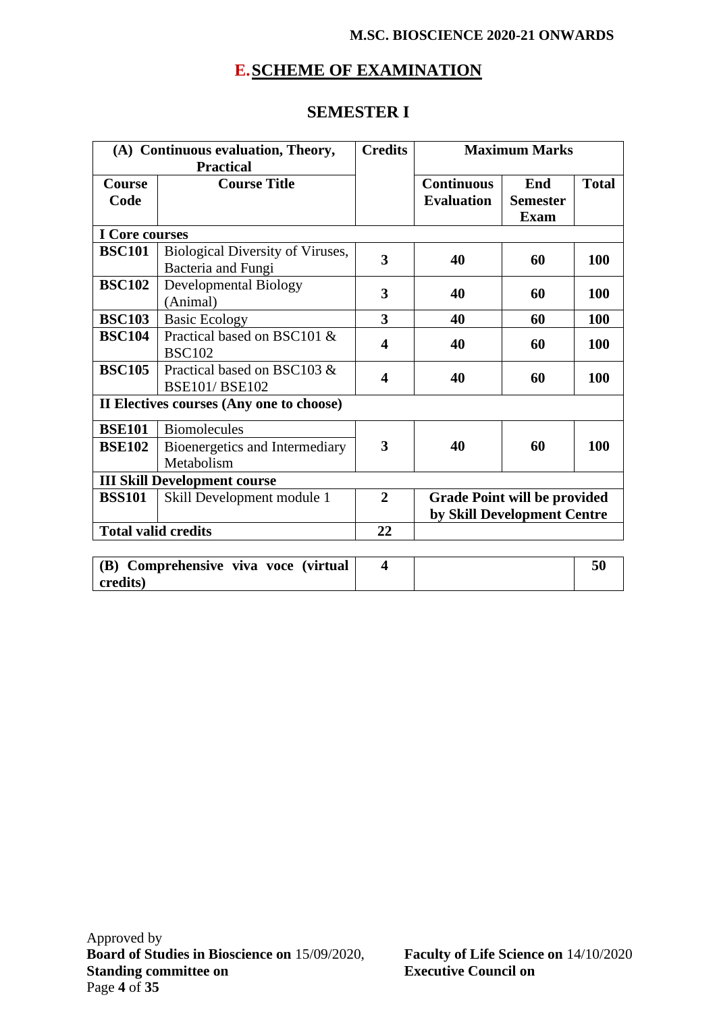# **E.SCHEME OF EXAMINATION**

# **SEMESTER I**

| (A) Continuous evaluation, Theory, |                                                        | <b>Credits</b> |                                                                    | <b>Maximum Marks</b> |              |
|------------------------------------|--------------------------------------------------------|----------------|--------------------------------------------------------------------|----------------------|--------------|
|                                    | <b>Practical</b>                                       |                |                                                                    |                      |              |
| <b>Course</b>                      | <b>Course Title</b>                                    |                | <b>Continuous</b>                                                  | End                  | <b>Total</b> |
| Code                               |                                                        |                | <b>Evaluation</b>                                                  | <b>Semester</b>      |              |
|                                    |                                                        |                |                                                                    | <b>Exam</b>          |              |
| I Core courses                     |                                                        |                |                                                                    |                      |              |
| <b>BSC101</b>                      | Biological Diversity of Viruses,<br>Bacteria and Fungi | 3              | 40                                                                 | 60                   | 100          |
| <b>BSC102</b>                      | <b>Developmental Biology</b><br>(Animal)               | 3              | 40                                                                 | 60                   | 100          |
| <b>BSC103</b>                      | <b>Basic Ecology</b>                                   | 3              | 40                                                                 | 60                   | <b>100</b>   |
| <b>BSC104</b>                      | Practical based on BSC101 &<br><b>BSC102</b>           | 4              | 40                                                                 | 60                   | 100          |
| <b>BSC105</b>                      | Practical based on BSC103 &<br><b>BSE101/BSE102</b>    | 4              | 40                                                                 | 60                   | 100          |
|                                    | II Electives courses (Any one to choose)               |                |                                                                    |                      |              |
| <b>BSE101</b>                      | <b>Biomolecules</b>                                    |                |                                                                    |                      |              |
| <b>BSE102</b>                      | Bioenergetics and Intermediary<br>Metabolism           | 3              | 40                                                                 | 60                   | 100          |
|                                    | <b>III Skill Development course</b>                    |                |                                                                    |                      |              |
| <b>BSS101</b>                      | Skill Development module 1                             | $\overline{2}$ | <b>Grade Point will be provided</b><br>by Skill Development Centre |                      |              |
| <b>Total valid credits</b>         |                                                        | 22             |                                                                    |                      |              |
|                                    |                                                        |                |                                                                    |                      |              |

| (B) Comprehensive viva voce (virtual |  |  |
|--------------------------------------|--|--|
| credits)                             |  |  |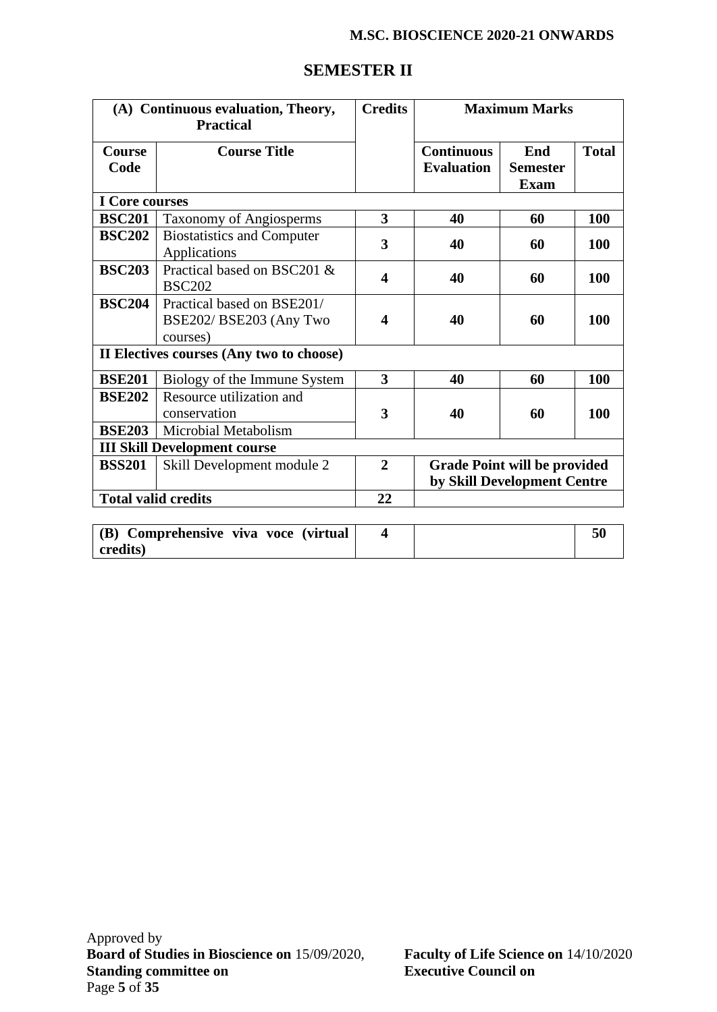| (A) Continuous evaluation, Theory,<br><b>Practical</b> |                                                                   | <b>Credits</b>          |                                                                    | <b>Maximum Marks</b>                         |              |
|--------------------------------------------------------|-------------------------------------------------------------------|-------------------------|--------------------------------------------------------------------|----------------------------------------------|--------------|
| <b>Course</b><br>Code                                  | <b>Course Title</b>                                               |                         | <b>Continuous</b><br><b>Evaluation</b>                             | <b>End</b><br><b>Semester</b><br><b>Exam</b> | <b>Total</b> |
| <b>I</b> Core courses                                  |                                                                   |                         |                                                                    |                                              |              |
| <b>BSC201</b>                                          | Taxonomy of Angiosperms                                           | 3                       | 40                                                                 | 60                                           | <b>100</b>   |
| <b>BSC202</b>                                          | <b>Biostatistics and Computer</b><br>Applications                 | 3                       | 40                                                                 | 60                                           | 100          |
| <b>BSC203</b>                                          | Practical based on BSC201 &<br><b>BSC202</b>                      | 4                       | 40                                                                 | 60                                           | 100          |
| <b>BSC204</b>                                          | Practical based on BSE201/<br>BSE202/BSE203 (Any Two<br>courses)  | $\overline{\mathbf{4}}$ | 40                                                                 | 60                                           | 100          |
|                                                        | II Electives courses (Any two to choose)                          |                         |                                                                    |                                              |              |
| <b>BSE201</b>                                          | Biology of the Immune System                                      | 3                       | 40                                                                 | 60                                           | 100          |
| <b>BSE202</b><br><b>BSE203</b>                         | Resource utilization and<br>conservation<br>Microbial Metabolism  | 3                       | 40                                                                 | 60                                           | 100          |
|                                                        |                                                                   |                         |                                                                    |                                              |              |
| <b>BSS201</b>                                          | <b>III Skill Development course</b><br>Skill Development module 2 | $\mathbf{2}$            | <b>Grade Point will be provided</b><br>by Skill Development Centre |                                              |              |
|                                                        | <b>Total valid credits</b>                                        | 22                      |                                                                    |                                              |              |
|                                                        |                                                                   |                         |                                                                    |                                              |              |

# **SEMESTER II**

| (B) Comprehensive viva voce (virtual |  | 50 |
|--------------------------------------|--|----|
| credits)                             |  |    |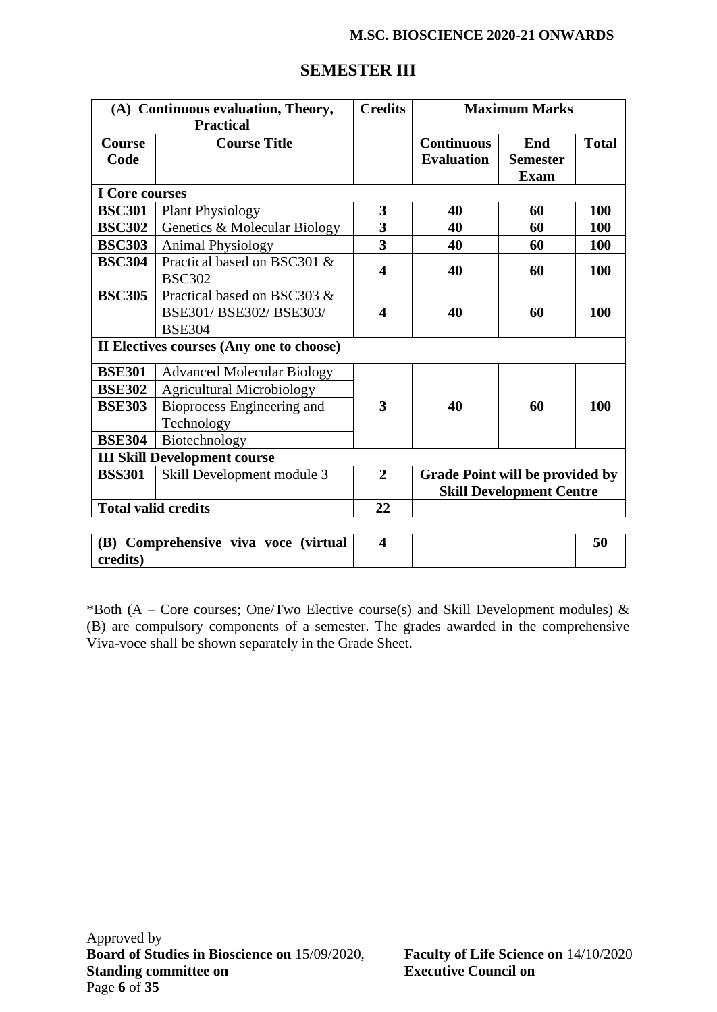| (A) Continuous evaluation, Theory,<br><b>Practical</b> |                                                                       | <b>Credits</b>          |                                        | <b>Maximum Marks</b>                  |              |
|--------------------------------------------------------|-----------------------------------------------------------------------|-------------------------|----------------------------------------|---------------------------------------|--------------|
| <b>Course</b><br>Code                                  | <b>Course Title</b>                                                   |                         | <b>Continuous</b><br><b>Evaluation</b> | End<br><b>Semester</b><br><b>Exam</b> | <b>Total</b> |
| I Core courses                                         |                                                                       |                         |                                        |                                       |              |
| <b>BSC301</b>                                          | <b>Plant Physiology</b>                                               | 3                       | 40                                     | 60                                    | 100          |
| <b>BSC302</b>                                          | Genetics & Molecular Biology                                          | 3                       | 40                                     | 60                                    | 100          |
| <b>BSC303</b>                                          | <b>Animal Physiology</b>                                              | 3                       | 40                                     | 60                                    | 100          |
| <b>BSC304</b>                                          | Practical based on BSC301 &<br><b>BSC302</b>                          | $\overline{\mathbf{4}}$ | 40                                     | 60                                    | 100          |
| <b>BSC305</b>                                          | Practical based on BSC303 &<br>BSE301/BSE302/BSE303/<br><b>BSE304</b> | 4                       | 40                                     | 60                                    | 100          |
|                                                        | II Electives courses (Any one to choose)                              |                         |                                        |                                       |              |
| <b>BSE301</b>                                          | <b>Advanced Molecular Biology</b>                                     |                         |                                        |                                       |              |
| <b>BSE302</b>                                          | <b>Agricultural Microbiology</b>                                      |                         |                                        |                                       |              |
| <b>BSE303</b>                                          | Bioprocess Engineering and<br>Technology                              | 3                       | 40                                     | 60                                    | 100          |
| <b>BSE304</b>                                          | Biotechnology                                                         |                         |                                        |                                       |              |
|                                                        | <b>III Skill Development course</b>                                   |                         |                                        |                                       |              |
| <b>BSS301</b><br>Skill Development module 3            |                                                                       | $\overline{2}$          | <b>Grade Point will be provided by</b> | <b>Skill Development Centre</b>       |              |
| <b>Total valid credits</b>                             |                                                                       | 22                      |                                        |                                       |              |
|                                                        |                                                                       |                         |                                        |                                       |              |
| <b>(B)</b>                                             | Comprehensive viva voce (virtual                                      | $\overline{\mathbf{4}}$ |                                        |                                       | 50           |

# **SEMESTER III**

\*Both (A – Core courses; One/Two Elective course(s) and Skill Development modules)  $\&$ (B) are compulsory components of a semester. The grades awarded in the comprehensive Viva-voce shall be shown separately in the Grade Sheet.

**credits)**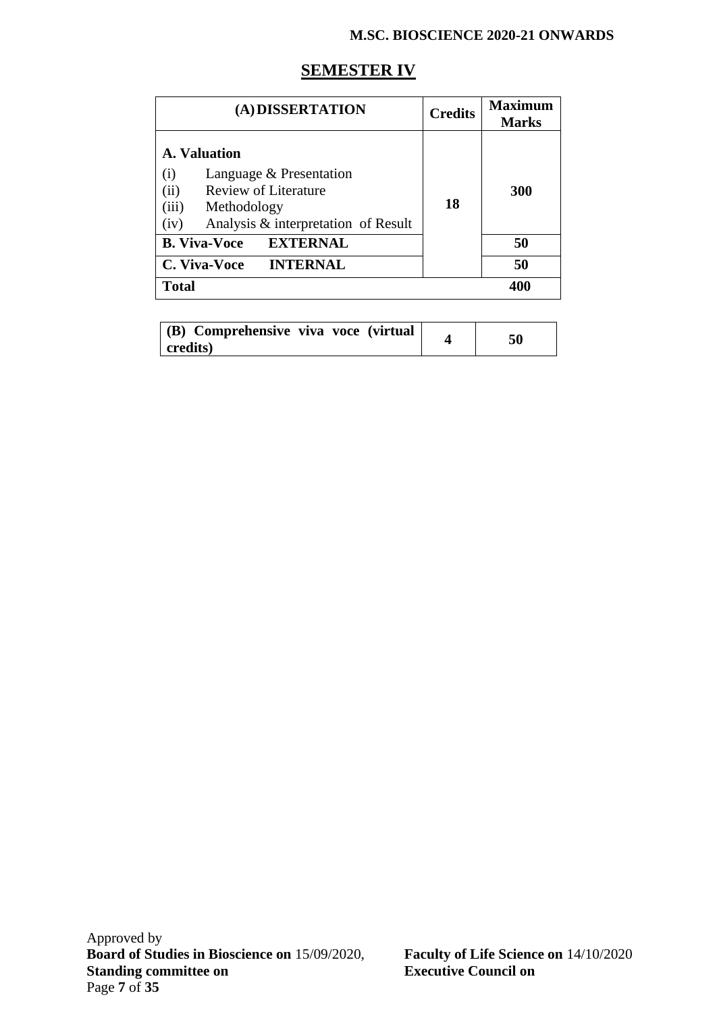# **SEMESTER IV**

| (A) DISSERTATION                                                                                                                                             | <b>Credits</b> | Maximum<br><b>Marks</b> |
|--------------------------------------------------------------------------------------------------------------------------------------------------------------|----------------|-------------------------|
| A. Valuation<br>Language & Presentation<br>(i)<br>(ii)<br><b>Review of Literature</b><br>(iii)<br>Methodology<br>Analysis & interpretation of Result<br>(iv) | 18             | 300                     |
| <b>EXTERNAL</b><br><b>B. Viva-Voce</b>                                                                                                                       |                | 50                      |
| <b>INTERNAL</b><br>C. Viva-Voce                                                                                                                              |                | 50                      |
| <b>Total</b>                                                                                                                                                 |                | 400                     |

| (B) Comprehensive viva voce (virtual<br>$ {\rm credits} $ |  |  |
|-----------------------------------------------------------|--|--|
|-----------------------------------------------------------|--|--|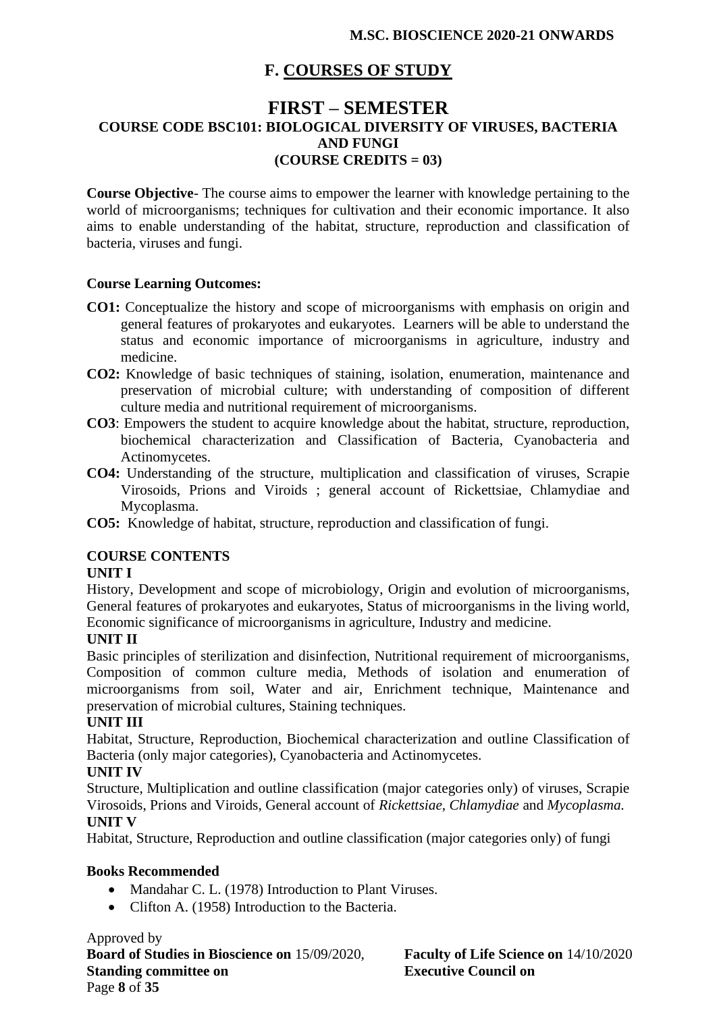# **F. COURSES OF STUDY**

# **FIRST – SEMESTER COURSE CODE BSC101: BIOLOGICAL DIVERSITY OF VIRUSES, BACTERIA AND FUNGI (COURSE CREDITS = 03)**

**Course Objective**- The course aims to empower the learner with knowledge pertaining to the world of microorganisms; techniques for cultivation and their economic importance. It also aims to enable understanding of the habitat, structure, reproduction and classification of bacteria, viruses and fungi.

#### **Course Learning Outcomes:**

- **CO1:** Conceptualize the history and scope of microorganisms with emphasis on origin and general features of prokaryotes and eukaryotes. Learners will be able to understand the status and economic importance of microorganisms in agriculture, industry and medicine.
- **CO2:** Knowledge of basic techniques of staining, isolation, enumeration, maintenance and preservation of microbial culture; with understanding of composition of different culture media and nutritional requirement of microorganisms.
- **CO3**: Empowers the student to acquire knowledge about the habitat, structure, reproduction, biochemical characterization and Classification of Bacteria, Cyanobacteria and Actinomycetes.
- **CO4:** Understanding of the structure, multiplication and classification of viruses, Scrapie Virosoids, Prions and Viroids ; general account of Rickettsiae, Chlamydiae and Mycoplasma.
- **CO5:** Knowledge of habitat, structure, reproduction and classification of fungi.

### **COURSE CONTENTS**

#### **UNIT I**

History, Development and scope of microbiology, Origin and evolution of microorganisms, General features of prokaryotes and eukaryotes, Status of microorganisms in the living world, Economic significance of microorganisms in agriculture, Industry and medicine.

#### **UNIT II**

Basic principles of sterilization and disinfection, Nutritional requirement of microorganisms, Composition of common culture media, Methods of isolation and enumeration of microorganisms from soil, Water and air, Enrichment technique, Maintenance and preservation of microbial cultures, Staining techniques.

#### **UNIT III**

Habitat, Structure, Reproduction, Biochemical characterization and outline Classification of Bacteria (only major categories), Cyanobacteria and Actinomycetes.

#### **UNIT IV**

Structure, Multiplication and outline classification (major categories only) of viruses, Scrapie Virosoids, Prions and Viroids, General account of *Rickettsiae*, *Chlamydiae* and *Mycoplasma.* **UNIT V**

Habitat, Structure, Reproduction and outline classification (major categories only) of fungi

### **Books Recommended**

- Mandahar C. L. (1978) Introduction to Plant Viruses.
- Clifton A. (1958) Introduction to the Bacteria.

Approved by **Board of Studies in Bioscience on** 15/09/2020, **Faculty of Life Science on** 14/10/2020 **Standing committee on Executive Council on** Page **8** of **35**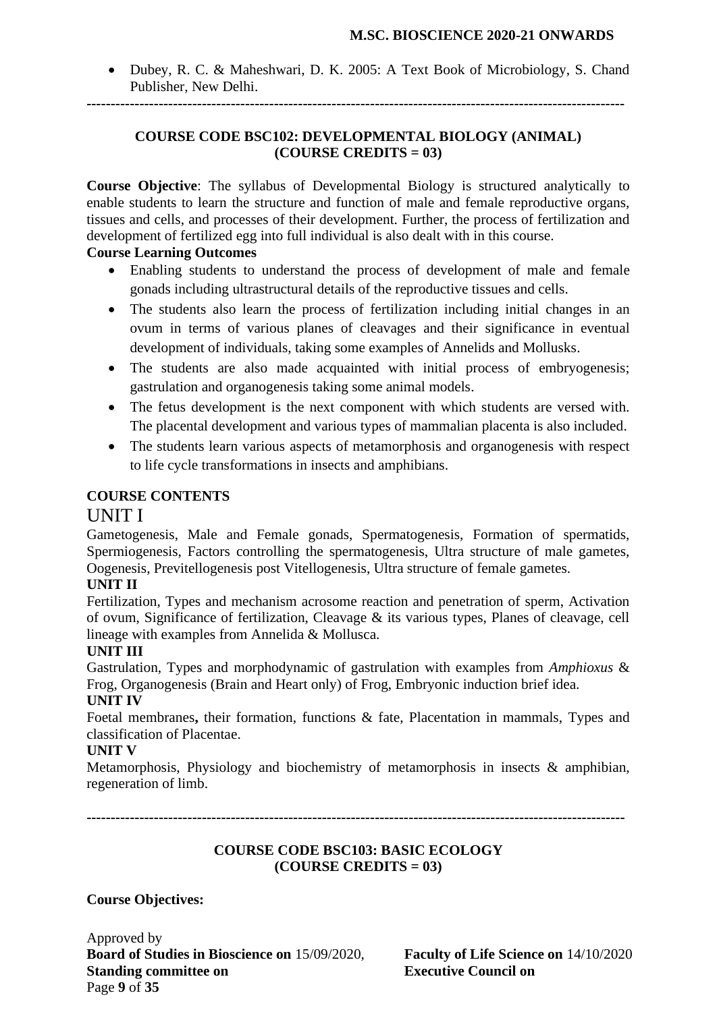• Dubey, R. C. & Maheshwari, D. K. 2005: A Text Book of Microbiology, S. Chand Publisher, New Delhi.

**----------------------------------------------------------------------------------------------------------------**

#### **COURSE CODE BSC102: DEVELOPMENTAL BIOLOGY (ANIMAL) (COURSE CREDITS = 03)**

**Course Objective**: The syllabus of Developmental Biology is structured analytically to enable students to learn the structure and function of male and female reproductive organs, tissues and cells, and processes of their development. Further, the process of fertilization and development of fertilized egg into full individual is also dealt with in this course.

### **Course Learning Outcomes**

- Enabling students to understand the process of development of male and female gonads including ultrastructural details of the reproductive tissues and cells.
- The students also learn the process of fertilization including initial changes in an ovum in terms of various planes of cleavages and their significance in eventual development of individuals, taking some examples of Annelids and Mollusks.
- The students are also made acquainted with initial process of embryogenesis; gastrulation and organogenesis taking some animal models.
- The fetus development is the next component with which students are versed with. The placental development and various types of mammalian placenta is also included.
- The students learn various aspects of metamorphosis and organogenesis with respect to life cycle transformations in insects and amphibians.

### **COURSE CONTENTS**

# UNIT I

Gametogenesis, Male and Female gonads, Spermatogenesis, Formation of spermatids, Spermiogenesis, Factors controlling the spermatogenesis, Ultra structure of male gametes, Oogenesis, Previtellogenesis post Vitellogenesis, Ultra structure of female gametes.

### **UNIT II**

Fertilization, Types and mechanism acrosome reaction and penetration of sperm, Activation of ovum, Significance of fertilization, Cleavage & its various types, Planes of cleavage, cell lineage with examples from Annelida & Mollusca.

# **UNIT III**

Gastrulation, Types and morphodynamic of gastrulation with examples from *Amphioxus* & Frog, Organogenesis (Brain and Heart only) of Frog, Embryonic induction brief idea.

### **UNIT IV**

Foetal membranes**,** their formation, functions & fate, Placentation in mammals, Types and classification of Placentae.

### **UNIT V**

Metamorphosis, Physiology and biochemistry of metamorphosis in insects & amphibian, regeneration of limb.

**----------------------------------------------------------------------------------------------------------------**

#### **COURSE CODE BSC103: BASIC ECOLOGY (COURSE CREDITS = 03)**

# **Course Objectives:**

Approved by **Board of Studies in Bioscience on** 15/09/2020, **Faculty of Life Science on** 14/10/2020 **Standing committee on Executive Council on** Page **9** of **35**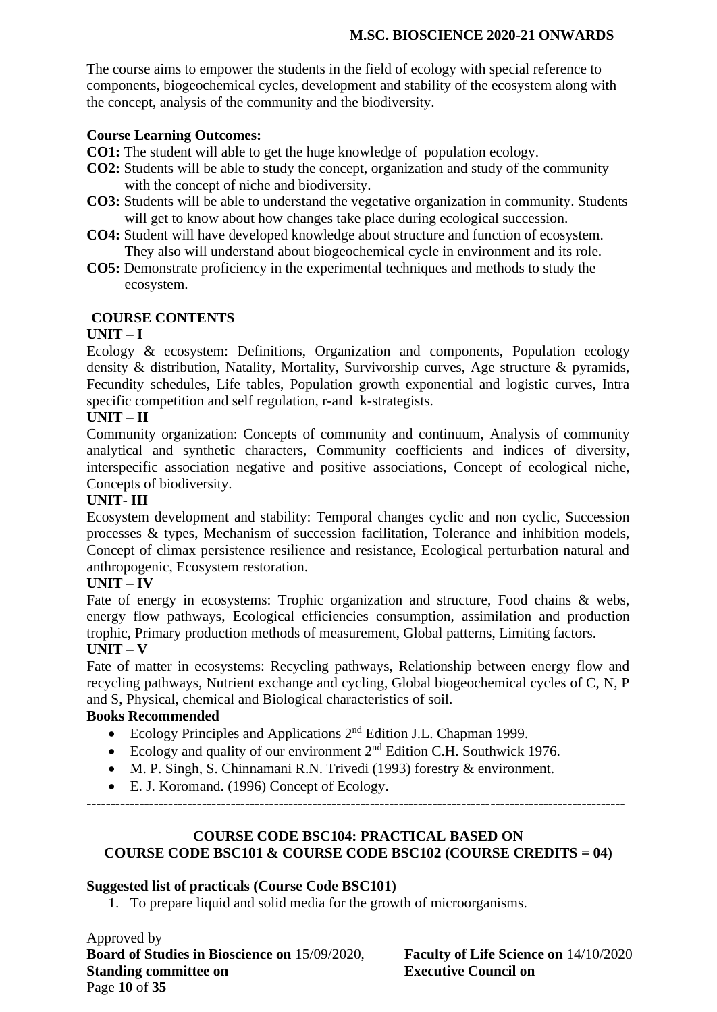The course aims to empower the students in the field of ecology with special reference to components, biogeochemical cycles, development and stability of the ecosystem along with the concept, analysis of the community and the biodiversity.

### **Course Learning Outcomes:**

**CO1:** The student will able to get the huge knowledge of population ecology.

- **CO2:** Students will be able to study the concept, organization and study of the community with the concept of niche and biodiversity.
- **CO3:** Students will be able to understand the vegetative organization in community. Students will get to know about how changes take place during ecological succession.
- **CO4:** Student will have developed knowledge about structure and function of ecosystem. They also will understand about biogeochemical cycle in environment and its role.
- **CO5:** Demonstrate proficiency in the experimental techniques and methods to study the ecosystem.

### **COURSE CONTENTS**

### **UNIT – I**

Ecology & ecosystem: Definitions, Organization and components, Population ecology density & distribution, Natality, Mortality, Survivorship curves, Age structure & pyramids, Fecundity schedules, Life tables, Population growth exponential and logistic curves, Intra specific competition and self regulation, r-and k-strategists.

### **UNIT – II**

Community organization: Concepts of community and continuum, Analysis of community analytical and synthetic characters, Community coefficients and indices of diversity, interspecific association negative and positive associations, Concept of ecological niche, Concepts of biodiversity.

### **UNIT- III**

Ecosystem development and stability: Temporal changes cyclic and non cyclic, Succession processes & types, Mechanism of succession facilitation, Tolerance and inhibition models, Concept of climax persistence resilience and resistance, Ecological perturbation natural and anthropogenic, Ecosystem restoration.

### **UNIT – IV**

Fate of energy in ecosystems: Trophic organization and structure, Food chains & webs, energy flow pathways, Ecological efficiencies consumption, assimilation and production trophic, Primary production methods of measurement, Global patterns, Limiting factors. **UNIT – V** 

Fate of matter in ecosystems: Recycling pathways, Relationship between energy flow and recycling pathways, Nutrient exchange and cycling, Global biogeochemical cycles of C, N, P and S, Physical, chemical and Biological characteristics of soil.

### **Books Recommended**

- Ecology Principles and Applications  $2<sup>nd</sup>$  Edition J.L. Chapman 1999.
- Ecology and quality of our environment  $2<sup>nd</sup>$  Edition C.H. Southwick 1976.
- M. P. Singh, S. Chinnamani R.N. Trivedi (1993) forestry & environment.
- E. J. Koromand. (1996) Concept of Ecology.

**----------------------------------------------------------------------------------------------------------------**

# **COURSE CODE BSC104: PRACTICAL BASED ON COURSE CODE BSC101 & COURSE CODE BSC102 (COURSE CREDITS = 04)**

### **Suggested list of practicals (Course Code BSC101)**

1. To prepare liquid and solid media for the growth of microorganisms.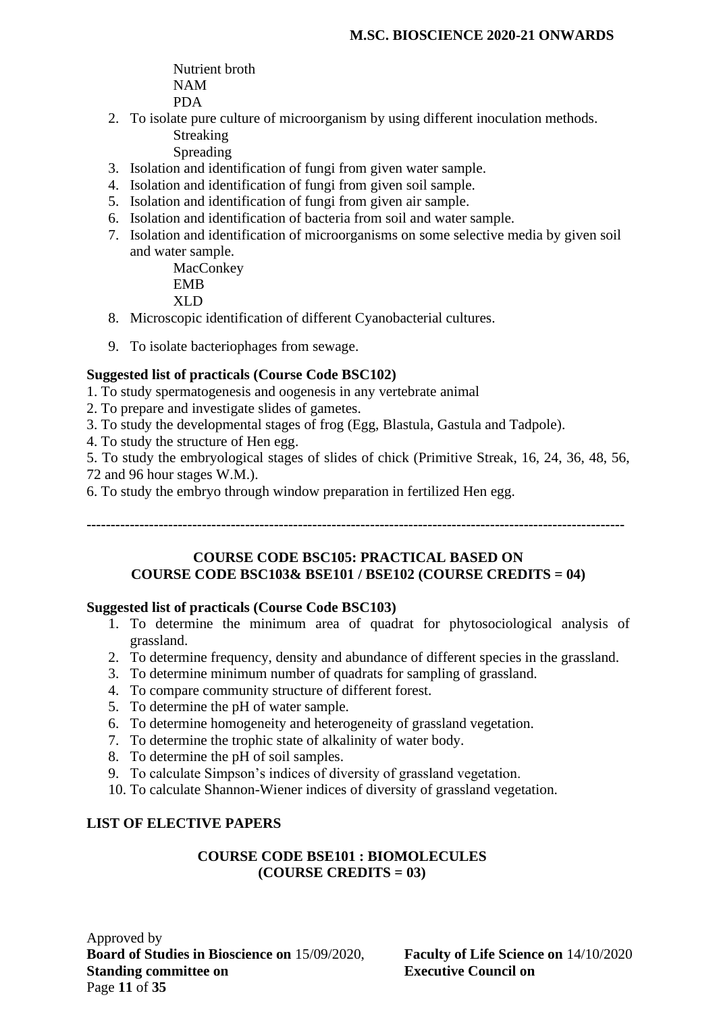Nutrient broth NAM PDA

- 2. To isolate pure culture of microorganism by using different inoculation methods. Streaking
	- Spreading
- 3. Isolation and identification of fungi from given water sample.
- 4. Isolation and identification of fungi from given soil sample.
- 5. Isolation and identification of fungi from given air sample.
- 6. Isolation and identification of bacteria from soil and water sample.
- 7. Isolation and identification of microorganisms on some selective media by given soil and water sample.

**MacConkey** EMB XLD

- 8. Microscopic identification of different Cyanobacterial cultures.
- 9. To isolate bacteriophages from sewage.

### **Suggested list of practicals (Course Code BSC102)**

- 1. To study spermatogenesis and oogenesis in any vertebrate animal
- 2. To prepare and investigate slides of gametes.
- 3. To study the developmental stages of frog (Egg, Blastula, Gastula and Tadpole).
- 4. To study the structure of Hen egg.
- 5. To study the embryological stages of slides of chick (Primitive Streak, 16, 24, 36, 48, 56, 72 and 96 hour stages W.M.).
- 6. To study the embryo through window preparation in fertilized Hen egg.

**----------------------------------------------------------------------------------------------------------------**

#### **COURSE CODE BSC105: PRACTICAL BASED ON COURSE CODE BSC103& BSE101 / BSE102 (COURSE CREDITS = 04)**

#### **Suggested list of practicals (Course Code BSC103)**

- 1. To determine the minimum area of quadrat for phytosociological analysis of grassland.
- 2. To determine frequency, density and abundance of different species in the grassland.
- 3. To determine minimum number of quadrats for sampling of grassland.
- 4. To compare community structure of different forest.
- 5. To determine the pH of water sample.
- 6. To determine homogeneity and heterogeneity of grassland vegetation.
- 7. To determine the trophic state of alkalinity of water body.
- 8. To determine the pH of soil samples.
- 9. To calculate Simpson's indices of diversity of grassland vegetation.
- 10. To calculate Shannon-Wiener indices of diversity of grassland vegetation.

### **LIST OF ELECTIVE PAPERS**

#### **COURSE CODE BSE101 : BIOMOLECULES (COURSE CREDITS = 03)**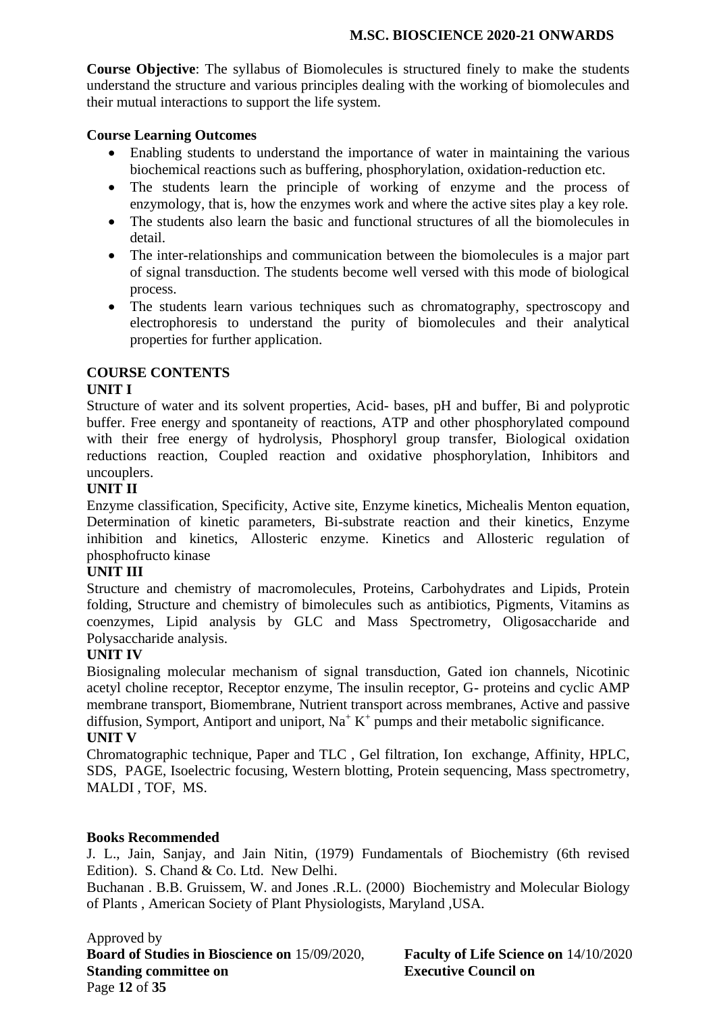**Course Objective**: The syllabus of Biomolecules is structured finely to make the students understand the structure and various principles dealing with the working of biomolecules and their mutual interactions to support the life system.

### **Course Learning Outcomes**

- Enabling students to understand the importance of water in maintaining the various biochemical reactions such as buffering, phosphorylation, oxidation-reduction etc.
- The students learn the principle of working of enzyme and the process of enzymology, that is, how the enzymes work and where the active sites play a key role.
- The students also learn the basic and functional structures of all the biomolecules in detail.
- The inter-relationships and communication between the biomolecules is a major part of signal transduction. The students become well versed with this mode of biological process.
- The students learn various techniques such as chromatography, spectroscopy and electrophoresis to understand the purity of biomolecules and their analytical properties for further application.

### **COURSE CONTENTS**

#### **UNIT I**

Structure of water and its solvent properties, Acid- bases, pH and buffer, Bi and polyprotic buffer. Free energy and spontaneity of reactions, ATP and other phosphorylated compound with their free energy of hydrolysis, Phosphoryl group transfer, Biological oxidation reductions reaction, Coupled reaction and oxidative phosphorylation, Inhibitors and uncouplers.

#### **UNIT II**

Enzyme classification, Specificity, Active site, Enzyme kinetics, Michealis Menton equation, Determination of kinetic parameters, Bi-substrate reaction and their kinetics, Enzyme inhibition and kinetics, Allosteric enzyme. Kinetics and Allosteric regulation of phosphofructo kinase

### **UNIT III**

Structure and chemistry of macromolecules, Proteins, Carbohydrates and Lipids, Protein folding, Structure and chemistry of bimolecules such as antibiotics, Pigments, Vitamins as coenzymes, Lipid analysis by GLC and Mass Spectrometry, Oligosaccharide and Polysaccharide analysis.

#### **UNIT IV**

Biosignaling molecular mechanism of signal transduction, Gated ion channels, Nicotinic acetyl choline receptor, Receptor enzyme, The insulin receptor, G- proteins and cyclic AMP membrane transport, Biomembrane, Nutrient transport across membranes, Active and passive diffusion, Symport, Antiport and uniport,  $Na^+ K^+$  pumps and their metabolic significance. **UNIT V**

Chromatographic technique, Paper and TLC , Gel filtration, Ion exchange, Affinity, HPLC, SDS, PAGE, Isoelectric focusing, Western blotting, Protein sequencing, Mass spectrometry, MALDI , TOF, MS.

#### **Books Recommended**

J. L., Jain, Sanjay, and Jain Nitin, (1979) Fundamentals of Biochemistry (6th revised Edition). S. Chand & Co. Ltd. New Delhi.

Buchanan . B.B. Gruissem, W. and Jones .R.L. (2000) Biochemistry and Molecular Biology of Plants , American Society of Plant Physiologists, Maryland ,USA.

Approved by **Board of Studies in Bioscience on** 15/09/2020, **Faculty of Life Science on** 14/10/2020 **Standing committee on Executive Council on** Page **12** of **35**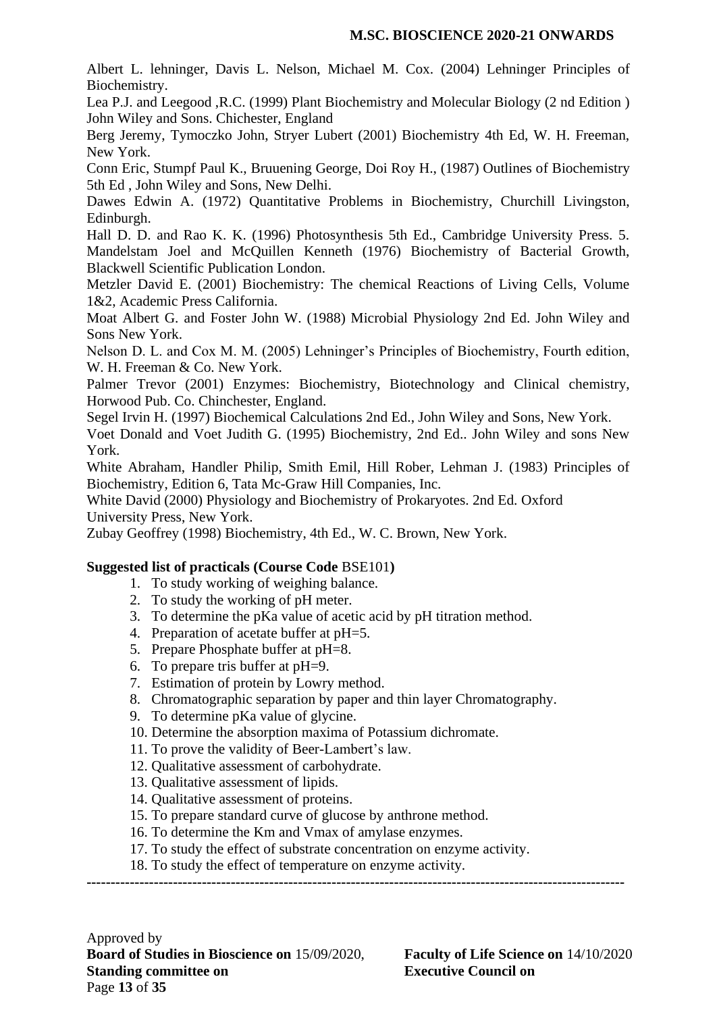Albert L. lehninger, Davis L. Nelson, Michael M. Cox. (2004) Lehninger Principles of Biochemistry.

Lea P.J. and Leegood ,R.C. (1999) Plant Biochemistry and Molecular Biology (2 nd Edition ) John Wiley and Sons. Chichester, England

Berg Jeremy, Tymoczko John, Stryer Lubert (2001) Biochemistry 4th Ed, W. H. Freeman, New York.

Conn Eric, Stumpf Paul K., Bruuening George, Doi Roy H., (1987) Outlines of Biochemistry 5th Ed , John Wiley and Sons, New Delhi.

Dawes Edwin A. (1972) Quantitative Problems in Biochemistry, Churchill Livingston, Edinburgh.

Hall D. D. and Rao K. K. (1996) Photosynthesis 5th Ed., Cambridge University Press. 5. Mandelstam Joel and McQuillen Kenneth (1976) Biochemistry of Bacterial Growth, Blackwell Scientific Publication London.

Metzler David E. (2001) Biochemistry: The chemical Reactions of Living Cells, Volume 1&2, Academic Press California.

Moat Albert G. and Foster John W. (1988) Microbial Physiology 2nd Ed. John Wiley and Sons New York.

Nelson D. L. and Cox M. M. (2005) Lehninger's Principles of Biochemistry, Fourth edition, W. H. Freeman & Co. New York.

Palmer Trevor (2001) Enzymes: Biochemistry, Biotechnology and Clinical chemistry, Horwood Pub. Co. Chinchester, England.

Segel Irvin H. (1997) Biochemical Calculations 2nd Ed., John Wiley and Sons, New York.

Voet Donald and Voet Judith G. (1995) Biochemistry, 2nd Ed.. John Wiley and sons New York.

White Abraham, Handler Philip, Smith Emil, Hill Rober, Lehman J. (1983) Principles of Biochemistry, Edition 6, Tata Mc-Graw Hill Companies, Inc.

White David (2000) Physiology and Biochemistry of Prokaryotes. 2nd Ed. Oxford University Press, New York.

Zubay Geoffrey (1998) Biochemistry, 4th Ed., W. C. Brown, New York.

### **Suggested list of practicals (Course Code** BSE101**)**

- 1. To study working of weighing balance.
- 2. To study the working of pH meter.
- 3. To determine the pKa value of acetic acid by pH titration method.
- 4. Preparation of acetate buffer at pH=5.
- 5. Prepare Phosphate buffer at pH=8.
- 6. To prepare tris buffer at pH=9.
- 7. Estimation of protein by Lowry method.
- 8. Chromatographic separation by paper and thin layer Chromatography.
- 9. To determine pKa value of glycine.
- 10. Determine the absorption maxima of Potassium dichromate.
- 11. To prove the validity of Beer-Lambert's law.
- 12. Qualitative assessment of carbohydrate.
- 13. Qualitative assessment of lipids.
- 14. Qualitative assessment of proteins.
- 15. To prepare standard curve of glucose by anthrone method.
- 16. To determine the Km and Vmax of amylase enzymes.
- 17. To study the effect of substrate concentration on enzyme activity.
- 18. To study the effect of temperature on enzyme activity.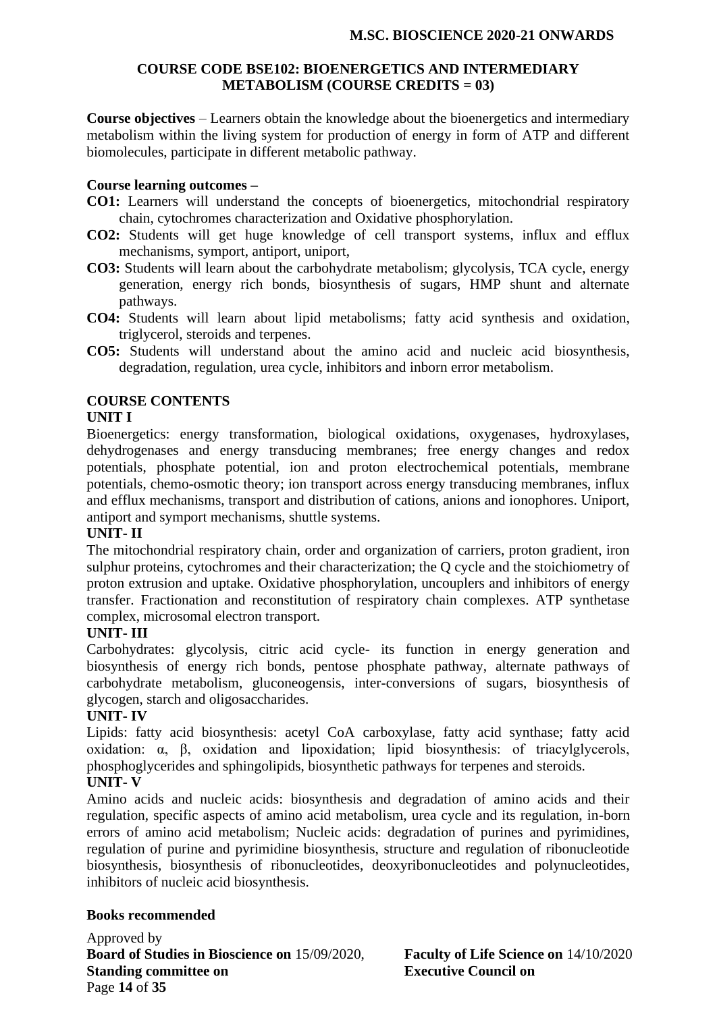#### **COURSE CODE BSE102: BIOENERGETICS AND INTERMEDIARY METABOLISM (COURSE CREDITS = 03)**

**Course objectives** – Learners obtain the knowledge about the bioenergetics and intermediary metabolism within the living system for production of energy in form of ATP and different biomolecules, participate in different metabolic pathway.

#### **Course learning outcomes –**

- **CO1:** Learners will understand the concepts of bioenergetics, mitochondrial respiratory chain, cytochromes characterization and Oxidative phosphorylation.
- **CO2:** Students will get huge knowledge of cell transport systems, influx and efflux mechanisms, symport, antiport, uniport,
- **CO3:** Students will learn about the carbohydrate metabolism; glycolysis, TCA cycle, energy generation, energy rich bonds, biosynthesis of sugars, HMP shunt and alternate pathways.
- **CO4:** Students will learn about lipid metabolisms; fatty acid synthesis and oxidation, triglycerol, steroids and terpenes.
- **CO5:** Students will understand about the amino acid and nucleic acid biosynthesis, degradation, regulation, urea cycle, inhibitors and inborn error metabolism.

### **COURSE CONTENTS**

#### **UNIT I**

Bioenergetics: energy transformation, biological oxidations, oxygenases, hydroxylases, dehydrogenases and energy transducing membranes; free energy changes and redox potentials, phosphate potential, ion and proton electrochemical potentials, membrane potentials, chemo-osmotic theory; ion transport across energy transducing membranes, influx and efflux mechanisms, transport and distribution of cations, anions and ionophores. Uniport, antiport and symport mechanisms, shuttle systems.

### **UNIT- II**

The mitochondrial respiratory chain, order and organization of carriers, proton gradient, iron sulphur proteins, cytochromes and their characterization; the Q cycle and the stoichiometry of proton extrusion and uptake. Oxidative phosphorylation, uncouplers and inhibitors of energy transfer. Fractionation and reconstitution of respiratory chain complexes. ATP synthetase complex, microsomal electron transport.

### **UNIT- III**

Carbohydrates: glycolysis, citric acid cycle- its function in energy generation and biosynthesis of energy rich bonds, pentose phosphate pathway, alternate pathways of carbohydrate metabolism, gluconeogensis, inter-conversions of sugars, biosynthesis of glycogen, starch and oligosaccharides.

#### **UNIT- IV**

Lipids: fatty acid biosynthesis: acetyl CoA carboxylase, fatty acid synthase; fatty acid oxidation: α, β, oxidation and lipoxidation; lipid biosynthesis: of triacylglycerols, phosphoglycerides and sphingolipids, biosynthetic pathways for terpenes and steroids.

# **UNIT- V**

Amino acids and nucleic acids: biosynthesis and degradation of amino acids and their regulation, specific aspects of amino acid metabolism, urea cycle and its regulation, in-born errors of amino acid metabolism; Nucleic acids: degradation of purines and pyrimidines, regulation of purine and pyrimidine biosynthesis, structure and regulation of ribonucleotide biosynthesis, biosynthesis of ribonucleotides, deoxyribonucleotides and polynucleotides, inhibitors of nucleic acid biosynthesis.

#### **Books recommended**

Approved by **Board of Studies in Bioscience on** 15/09/2020, **Faculty of Life Science on** 14/10/2020 **Standing committee on Executive Council on** Page **14** of **35**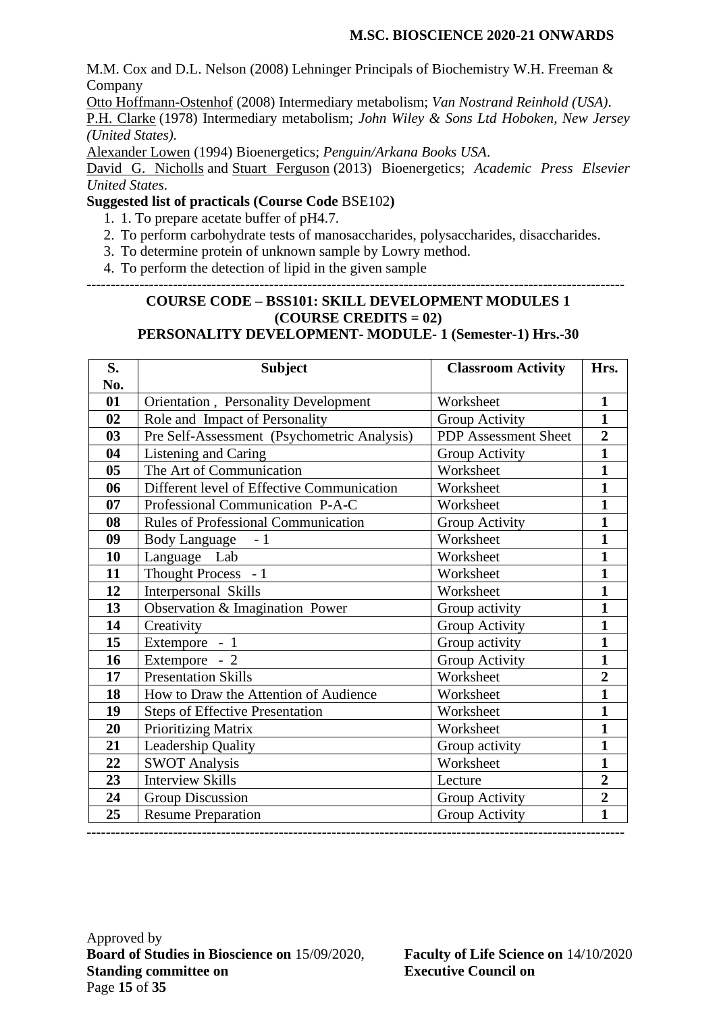M.M. Cox and D.L. Nelson (2008) Lehninger Principals of Biochemistry W.H. Freeman & Company

[Otto Hoffmann-Ostenhof](https://www.google.co.in/search?tbo=p&tbm=bks&q=inauthor:%22Otto+Hoffmann-Ostenhof%22&source=gbs_metadata_r&cad=5) (2008) Intermediary metabolism; *Van Nostrand Reinhold (USA)*.

[P.H. Clarke](http://www.amazon.com/s/ref=dp_byline_sr_book_1?ie=UTF8&text=P.H.+Clarke&search-alias=books&field-author=P.H.+Clarke&sort=relevancerank) (1978) Intermediary metabolism; *John Wiley & Sons Ltd Hoboken, New Jersey (United States).*

[Alexander Lowen](https://www.google.co.in/search?tbo=p&tbm=bks&q=inauthor:%22Alexander+Lowen%22) (1994) Bioenergetics; *Penguin/Arkana Books USA*.

David [G. Nicholls](http://www.amazon.com/David-G.-Nicholls/e/B001HD3ED4/ref=dp_byline_cont_book_1) and [Stuart Ferguson](http://www.amazon.com/s/ref=dp_byline_sr_book_2?ie=UTF8&text=Stuart+Ferguson&search-alias=books&field-author=Stuart+Ferguson&sort=relevancerank) (2013) Bioenergetics; *Academic Press Elsevier United States*.

#### **Suggested list of practicals (Course Code** BSE102**)**

- 1. 1. To prepare acetate buffer of pH4.7.
- 2. To perform carbohydrate tests of manosaccharides, polysaccharides, disaccharides.
- 3. To determine protein of unknown sample by Lowry method.
- 4. To perform the detection of lipid in the given sample

# **----------------------------------------------------------------------------------------------------------------**

#### **COURSE CODE – BSS101: SKILL DEVELOPMENT MODULES 1 (COURSE CREDITS = 02) PERSONALITY DEVELOPMENT- MODULE- 1 (Semester-1) Hrs.-30**

| S.             | <b>Subject</b>                              | <b>Classroom Activity</b>   | Hrs.           |
|----------------|---------------------------------------------|-----------------------------|----------------|
| No.            |                                             |                             |                |
| 01             | Orientation, Personality Development        | Worksheet                   | $\mathbf{1}$   |
| 02             | Role and Impact of Personality              | Group Activity              | $\mathbf{1}$   |
| 03             | Pre Self-Assessment (Psychometric Analysis) | <b>PDP</b> Assessment Sheet | $\overline{2}$ |
| 04             | Listening and Caring                        | Group Activity              | $\mathbf{1}$   |
| 0 <sub>5</sub> | The Art of Communication                    | Worksheet                   | $\mathbf{1}$   |
| 06             | Different level of Effective Communication  | Worksheet                   | $\mathbf{1}$   |
| 07             | Professional Communication P-A-C            | Worksheet                   | $\mathbf{1}$   |
| 08             | Rules of Professional Communication         | Group Activity              | $\mathbf{1}$   |
| 09             | Body Language - 1                           | Worksheet                   | $\mathbf{1}$   |
| 10             | Language Lab                                | Worksheet                   | $\mathbf{1}$   |
| 11             | Thought Process - 1                         | Worksheet                   | $\mathbf{1}$   |
| 12             | Interpersonal Skills                        | Worksheet                   | $\mathbf{1}$   |
| 13             | Observation & Imagination Power             | Group activity              | $\mathbf{1}$   |
| 14             | Creativity                                  | Group Activity              | $\mathbf{1}$   |
| 15             | Extempore - 1                               | Group activity              | $\mathbf{1}$   |
| 16             | Extempore - 2                               | Group Activity              | $\mathbf{1}$   |
| 17             | <b>Presentation Skills</b>                  | Worksheet                   | $\overline{2}$ |
| 18             | How to Draw the Attention of Audience       | Worksheet                   | $\mathbf{1}$   |
| 19             | <b>Steps of Effective Presentation</b>      | Worksheet                   | $\mathbf{1}$   |
| 20             | <b>Prioritizing Matrix</b>                  | Worksheet                   | $\mathbf{1}$   |
| 21             | Leadership Quality                          | Group activity              | $\mathbf{1}$   |
| 22             | <b>SWOT Analysis</b>                        | Worksheet                   | $\mathbf{1}$   |
| 23             | <b>Interview Skills</b>                     | Lecture                     | $\overline{2}$ |
| 24             | Group Discussion                            | Group Activity              | $\overline{2}$ |
| 25             | <b>Resume Preparation</b>                   | Group Activity              | $\mathbf{1}$   |
|                |                                             |                             |                |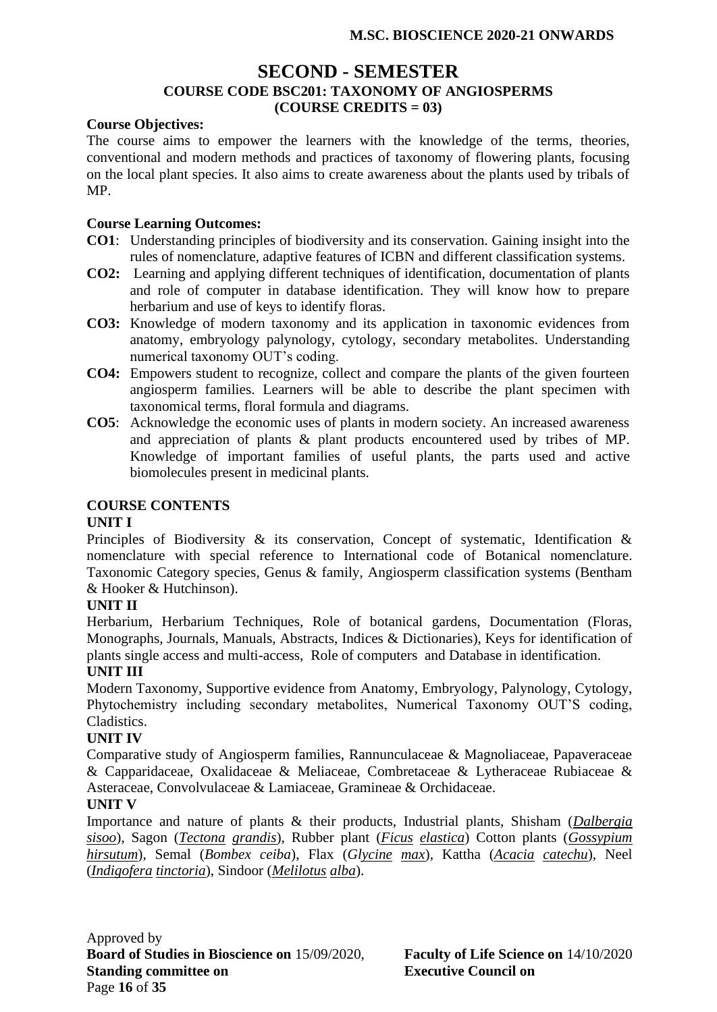# **SECOND - SEMESTER COURSE CODE BSC201: TAXONOMY OF ANGIOSPERMS (COURSE CREDITS = 03)**

#### **Course Objectives:**

The course aims to empower the learners with the knowledge of the terms, theories, conventional and modern methods and practices of taxonomy of flowering plants, focusing on the local plant species. It also aims to create awareness about the plants used by tribals of MP.

#### **Course Learning Outcomes:**

- **CO1**: Understanding principles of biodiversity and its conservation. Gaining insight into the rules of nomenclature, adaptive features of ICBN and different classification systems.
- **CO2:** Learning and applying different techniques of identification, documentation of plants and role of computer in database identification. They will know how to prepare herbarium and use of keys to identify floras.
- **CO3:** Knowledge of modern taxonomy and its application in taxonomic evidences from anatomy, embryology palynology, cytology, secondary metabolites. Understanding numerical taxonomy OUT's coding.
- **CO4:** Empowers student to recognize, collect and compare the plants of the given fourteen angiosperm families. Learners will be able to describe the plant specimen with taxonomical terms, floral formula and diagrams.
- **CO5**: Acknowledge the economic uses of plants in modern society. An increased awareness and appreciation of plants & plant products encountered used by tribes of MP. Knowledge of important families of useful plants, the parts used and active biomolecules present in medicinal plants.

### **COURSE CONTENTS**

#### **UNIT I**

Principles of Biodiversity & its conservation, Concept of systematic, Identification & nomenclature with special reference to International code of Botanical nomenclature. Taxonomic Category species, Genus & family, Angiosperm classification systems (Bentham & Hooker & Hutchinson).

### **UNIT II**

Herbarium, Herbarium Techniques, Role of botanical gardens, Documentation (Floras, Monographs, Journals, Manuals, Abstracts, Indices & Dictionaries), Keys for identification of plants single access and multi-access, Role of computers and Database in identification.

#### **UNIT III**

Modern Taxonomy, Supportive evidence from Anatomy, Embryology, Palynology, Cytology, Phytochemistry including secondary metabolites, Numerical Taxonomy OUT'S coding, Cladistics.

#### **UNIT IV**

Comparative study of Angiosperm families, Rannunculaceae & Magnoliaceae, Papaveraceae & Capparidaceae, Oxalidaceae & Meliaceae, Combretaceae & Lytheraceae Rubiaceae & Asteraceae, Convolvulaceae & Lamiaceae, Gramineae & Orchidaceae.

#### **UNIT V**

Importance and nature of plants & their products, Industrial plants, Shisham (*Dalbergia sisoo*), Sagon (*Tectona grandis*), Rubber plant (*Ficus elastica*) Cotton plants (*Gossypium hirsutum*), Semal (*Bombex ceiba*), Flax (*Glycine max*), Kattha (*Acacia catechu*), Neel (*Indigofera tinctoria*), Sindoor (*Melilotus alba*).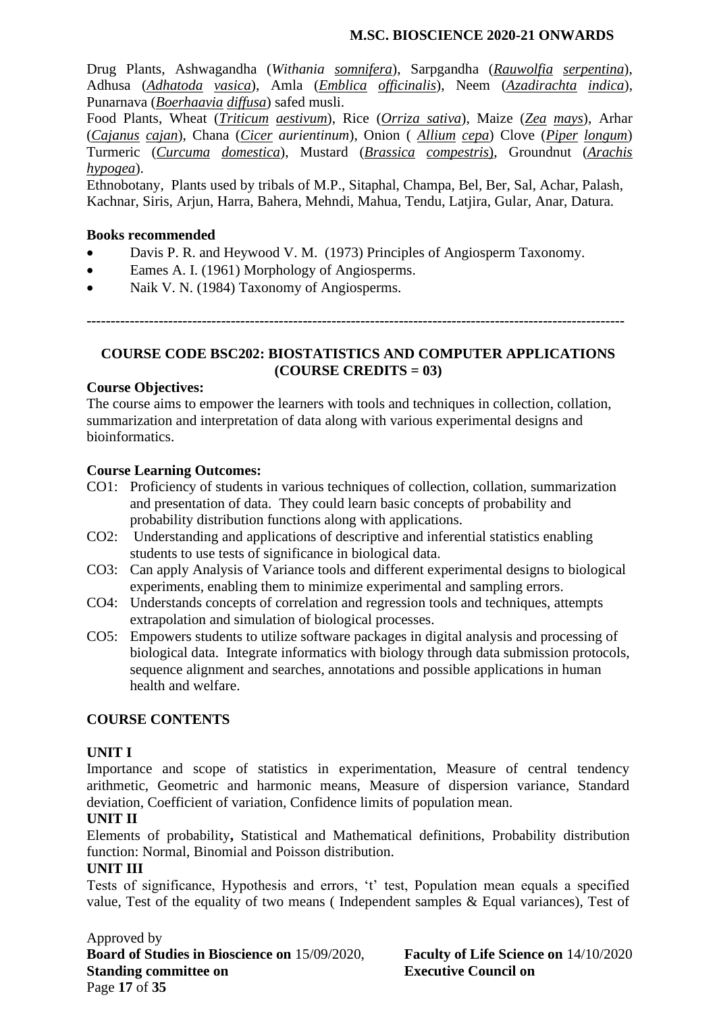Drug Plants, Ashwagandha (*Withania somnifera*), Sarpgandha (*Rauwolfia serpentina*), Adhusa (*Adhatoda vasica*), Amla (*Emblica officinalis*), Neem (*Azadirachta indica*), Punarnava (*Boerhaavia diffusa*) safed musli.

Food Plants, Wheat (*Triticum aestivum*), Rice (*Orriza sativa*), Maize (*Zea mays*), Arhar (*Cajanus cajan*), Chana (*Cicer aurientinum*), Onion ( *Allium cepa*) Clove (*Piper longum*) Turmeric (*Curcuma domestica*), Mustard (*Brassica compestris*), Groundnut (*Arachis hypogea*).

Ethnobotany, Plants used by tribals of M.P., Sitaphal, Champa, Bel, Ber, Sal, Achar, Palash, Kachnar, Siris, Arjun, Harra, Bahera, Mehndi, Mahua, Tendu, Latjira, Gular, Anar, Datura.

### **Books recommended**

- Davis P. R. and Heywood V. M. (1973) Principles of Angiosperm Taxonomy.
- Eames A. I. (1961) Morphology of Angiosperms.
- Naik V. N. (1984) Taxonomy of Angiosperms.

**----------------------------------------------------------------------------------------------------------------**

### **COURSE CODE BSC202: BIOSTATISTICS AND COMPUTER APPLICATIONS (COURSE CREDITS = 03)**

#### **Course Objectives:**

The course aims to empower the learners with tools and techniques in collection, collation, summarization and interpretation of data along with various experimental designs and bioinformatics.

#### **Course Learning Outcomes:**

- CO1: Proficiency of students in various techniques of collection, collation, summarization and presentation of data. They could learn basic concepts of probability and probability distribution functions along with applications.
- CO2: Understanding and applications of descriptive and inferential statistics enabling students to use tests of significance in biological data.
- CO3: Can apply Analysis of Variance tools and different experimental designs to biological experiments, enabling them to minimize experimental and sampling errors.
- CO4: Understands concepts of correlation and regression tools and techniques, attempts extrapolation and simulation of biological processes.
- CO5: Empowers students to utilize software packages in digital analysis and processing of biological data. Integrate informatics with biology through data submission protocols, sequence alignment and searches, annotations and possible applications in human health and welfare.

### **COURSE CONTENTS**

### **UNIT I**

Importance and scope of statistics in experimentation, Measure of central tendency arithmetic, Geometric and harmonic means, Measure of dispersion variance, Standard deviation, Coefficient of variation, Confidence limits of population mean.

#### **UNIT II**

Elements of probability**,** Statistical and Mathematical definitions, Probability distribution function: Normal, Binomial and Poisson distribution.

#### **UNIT III**

Tests of significance, Hypothesis and errors, 't' test, Population mean equals a specified value, Test of the equality of two means ( Independent samples & Equal variances), Test of

Approved by **Board of Studies in Bioscience on** 15/09/2020, **Faculty of Life Science on** 14/10/2020 **Standing committee on Executive Council on** Page **17** of **35**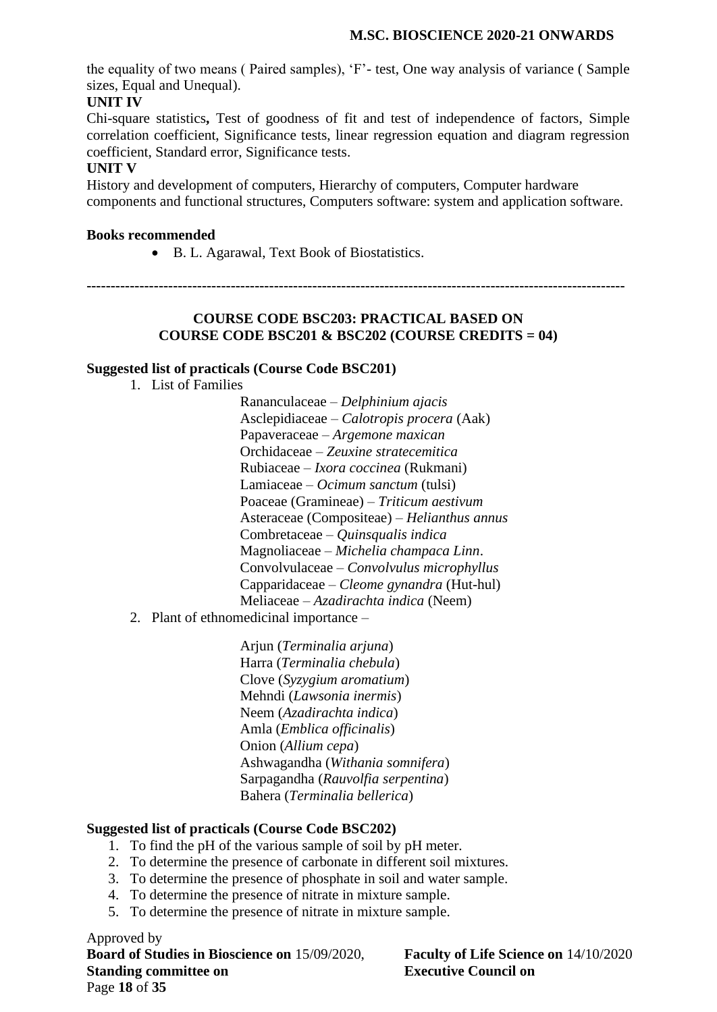the equality of two means ( Paired samples), 'F'- test, One way analysis of variance ( Sample sizes, Equal and Unequal).

### **UNIT IV**

Chi-square statistics**,** Test of goodness of fit and test of independence of factors, Simple correlation coefficient, Significance tests, linear regression equation and diagram regression coefficient, Standard error, Significance tests.

#### **UNIT V**

History and development of computers, Hierarchy of computers, Computer hardware components and functional structures, Computers software: system and application software.

#### **Books recommended**

• B. L. Agarawal, Text Book of Biostatistics.

**----------------------------------------------------------------------------------------------------------------**

#### **COURSE CODE BSC203: PRACTICAL BASED ON COURSE CODE BSC201 & BSC202 (COURSE CREDITS = 04)**

#### **Suggested list of practicals (Course Code BSC201)**

1. List of Families

Rananculaceae – *Delphinium ajacis* Asclepidiaceae – *Calotropis procera* (Aak) Papaveraceae – *Argemone maxican* Orchidaceae – *Zeuxine stratecemitica* Rubiaceae – *Ixora coccinea* (Rukmani) Lamiaceae – *Ocimum sanctum* (tulsi) Poaceae (Gramineae) – *Triticum aestivum* Asteraceae (Compositeae) – *Helianthus annus* Combretaceae – *Quinsqualis indica* Magnoliaceae – *Michelia champaca Linn*. Convolvulaceae – *Convolvulus microphyllus* Capparidaceae – *Cleome gynandra* (Hut-hul) Meliaceae – *Azadirachta indica* (Neem)

2. Plant of ethnomedicinal importance –

Arjun (*Terminalia arjuna*) Harra (*Terminalia chebula*) Clove (*Syzygium aromatium*) Mehndi (*Lawsonia inermis*) Neem (*Azadirachta indica*) Amla (*Emblica officinalis*) Onion (*Allium cepa*) Ashwagandha (*Withania somnifera*) Sarpagandha (*Rauvolfia serpentina*) Bahera (*Terminalia bellerica*)

### **Suggested list of practicals (Course Code BSC202)**

- 1. To find the pH of the various sample of soil by pH meter.
- 2. To determine the presence of carbonate in different soil mixtures.
- 3. To determine the presence of phosphate in soil and water sample.
- 4. To determine the presence of nitrate in mixture sample.
- 5. To determine the presence of nitrate in mixture sample.

Approved by **Board of Studies in Bioscience on** 15/09/2020, **Faculty of Life Science on** 14/10/2020 **Standing committee on Executive Council on** Page **18** of **35**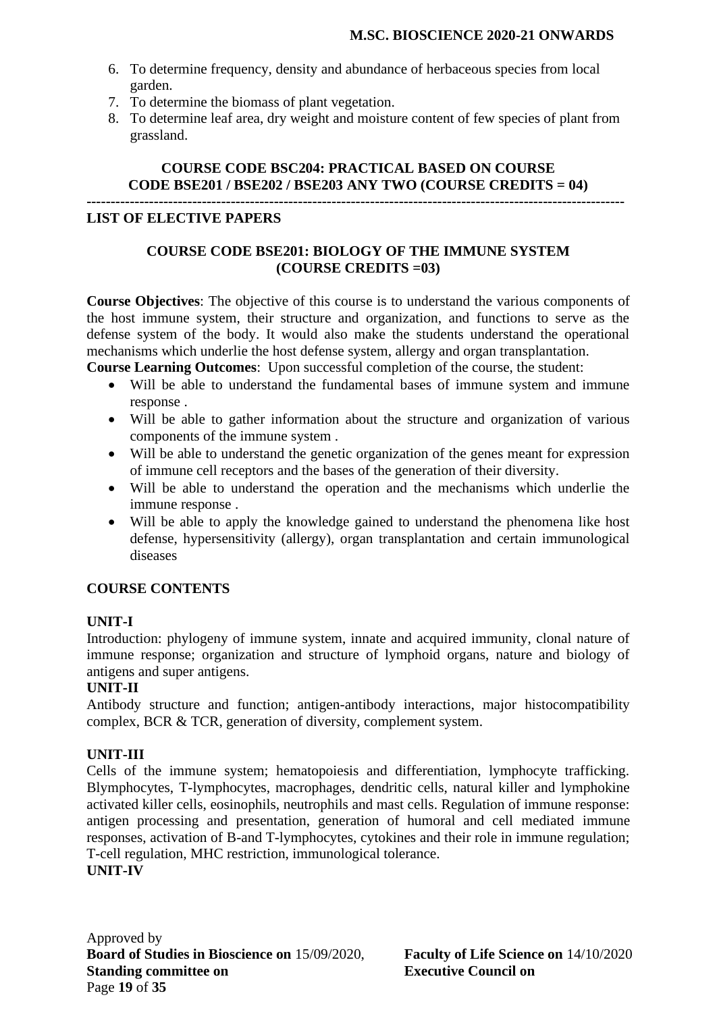- 6. To determine frequency, density and abundance of herbaceous species from local garden.
- 7. To determine the biomass of plant vegetation.
- 8. To determine leaf area, dry weight and moisture content of few species of plant from grassland.

# **COURSE CODE BSC204: PRACTICAL BASED ON COURSE CODE BSE201 / BSE202 / BSE203 ANY TWO (COURSE CREDITS = 04)**

**----------------------------------------------------------------------------------------------------------------**

### **LIST OF ELECTIVE PAPERS**

### **COURSE CODE BSE201: BIOLOGY OF THE IMMUNE SYSTEM (COURSE CREDITS =03)**

**Course Objectives**: The objective of this course is to understand the various components of the host immune system, their structure and organization, and functions to serve as the defense system of the body. It would also make the students understand the operational mechanisms which underlie the host defense system, allergy and organ transplantation.

**Course Learning Outcomes**: Upon successful completion of the course, the student:

- Will be able to understand the fundamental bases of immune system and immune response .
- Will be able to gather information about the structure and organization of various components of the immune system .
- Will be able to understand the genetic organization of the genes meant for expression of immune cell receptors and the bases of the generation of their diversity.
- Will be able to understand the operation and the mechanisms which underlie the immune response .
- Will be able to apply the knowledge gained to understand the phenomena like host defense, hypersensitivity (allergy), organ transplantation and certain immunological diseases

### **COURSE CONTENTS**

### **UNIT-I**

Introduction: phylogeny of immune system, innate and acquired immunity, clonal nature of immune response; organization and structure of lymphoid organs, nature and biology of antigens and super antigens.

### **UNIT-II**

Antibody structure and function; antigen-antibody interactions, major histocompatibility complex, BCR & TCR, generation of diversity, complement system.

# **UNIT-III**

Cells of the immune system; hematopoiesis and differentiation, lymphocyte trafficking. Blymphocytes, T-lymphocytes, macrophages, dendritic cells, natural killer and lymphokine activated killer cells, eosinophils, neutrophils and mast cells. Regulation of immune response: antigen processing and presentation, generation of humoral and cell mediated immune responses, activation of B-and T-lymphocytes, cytokines and their role in immune regulation; T-cell regulation, MHC restriction, immunological tolerance. **UNIT-IV**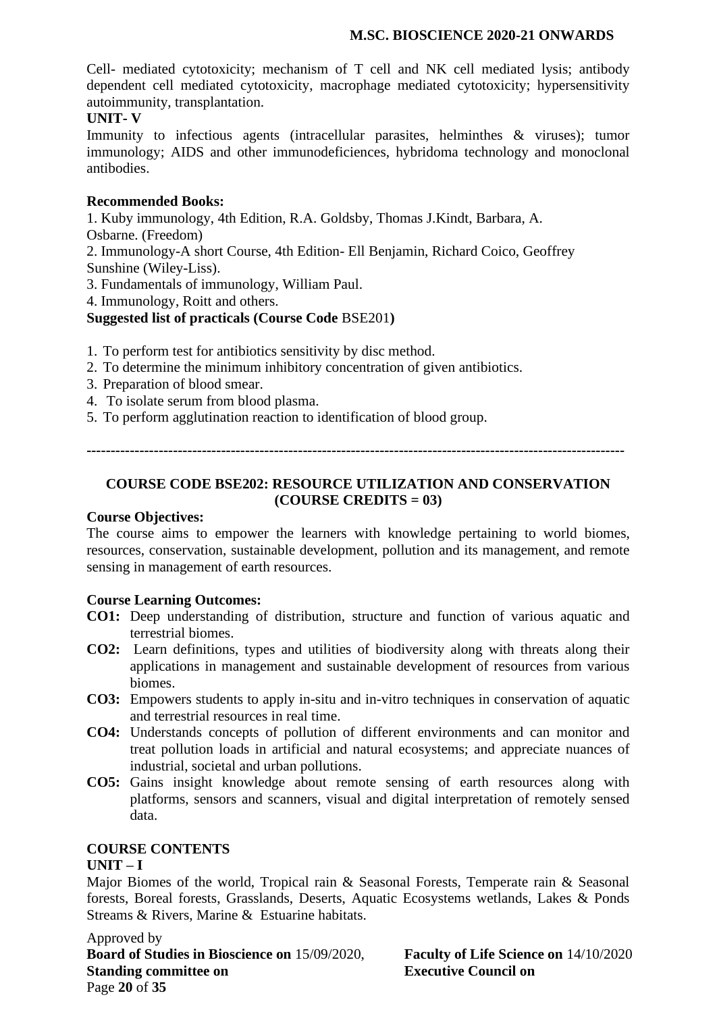Cell- mediated cytotoxicity; mechanism of T cell and NK cell mediated lysis; antibody dependent cell mediated cytotoxicity, macrophage mediated cytotoxicity; hypersensitivity autoimmunity, transplantation.

#### **UNIT- V**

Immunity to infectious agents (intracellular parasites, helminthes & viruses); tumor immunology; AIDS and other immunodeficiences, hybridoma technology and monoclonal antibodies.

#### **Recommended Books:**

1. Kuby immunology, 4th Edition, R.A. Goldsby, Thomas J.Kindt, Barbara, A.

Osbarne. (Freedom)

2. Immunology-A short Course, 4th Edition- Ell Benjamin, Richard Coico, Geoffrey Sunshine (Wiley-Liss).

3. Fundamentals of immunology, William Paul.

4. Immunology, Roitt and others.

#### **Suggested list of practicals (Course Code** BSE201**)**

- 1. To perform test for antibiotics sensitivity by disc method.
- 2. To determine the minimum inhibitory concentration of given antibiotics.
- 3. Preparation of blood smear.
- 4. To isolate serum from blood plasma.
- 5. To perform agglutination reaction to identification of blood group.

**----------------------------------------------------------------------------------------------------------------**

## **COURSE CODE BSE202: RESOURCE UTILIZATION AND CONSERVATION (COURSE CREDITS = 03)**

#### **Course Objectives:**

The course aims to empower the learners with knowledge pertaining to world biomes, resources, conservation, sustainable development, pollution and its management, and remote sensing in management of earth resources.

#### **Course Learning Outcomes:**

- **CO1:** Deep understanding of distribution, structure and function of various aquatic and terrestrial biomes.
- **CO2:** Learn definitions, types and utilities of biodiversity along with threats along their applications in management and sustainable development of resources from various biomes.
- **CO3:** Empowers students to apply in-situ and in-vitro techniques in conservation of aquatic and terrestrial resources in real time.
- **CO4:** Understands concepts of pollution of different environments and can monitor and treat pollution loads in artificial and natural ecosystems; and appreciate nuances of industrial, societal and urban pollutions.
- **CO5:** Gains insight knowledge about remote sensing of earth resources along with platforms, sensors and scanners, visual and digital interpretation of remotely sensed data.

#### **COURSE CONTENTS**

#### **UNIT – I**

Major Biomes of the world, Tropical rain & Seasonal Forests, Temperate rain & Seasonal forests, Boreal forests, Grasslands, Deserts, Aquatic Ecosystems wetlands, Lakes & Ponds Streams & Rivers, Marine & Estuarine habitats.

Approved by **Board of Studies in Bioscience on** 15/09/2020, **Faculty of Life Science on** 14/10/2020 **Standing committee on Executive Council on** Page **20** of **35**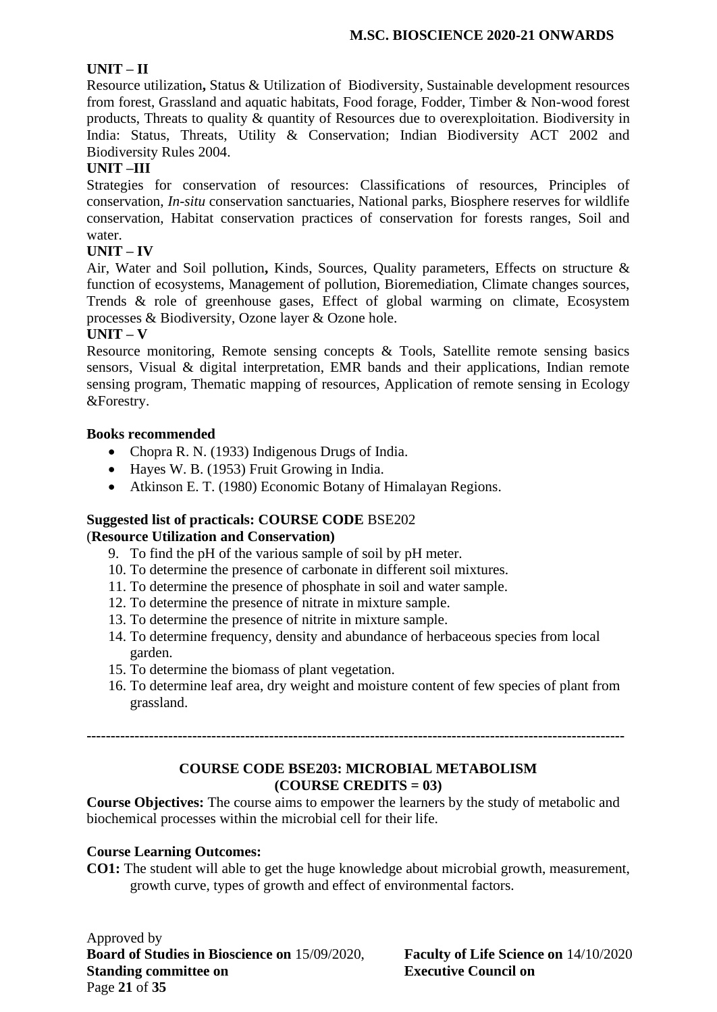### **UNIT – II**

Resource utilization**,** Status & Utilization of Biodiversity, Sustainable development resources from forest, Grassland and aquatic habitats, Food forage, Fodder, Timber & Non-wood forest products, Threats to quality & quantity of Resources due to overexploitation. Biodiversity in India: Status, Threats, Utility & Conservation; Indian Biodiversity ACT 2002 and Biodiversity Rules 2004.

### **UNIT –III**

Strategies for conservation of resources: Classifications of resources, Principles of conservation, *In-situ* conservation sanctuaries, National parks, Biosphere reserves for wildlife conservation, Habitat conservation practices of conservation for forests ranges, Soil and water.

### **UNIT – IV**

Air, Water and Soil pollution**,** Kinds, Sources, Quality parameters, Effects on structure & function of ecosystems, Management of pollution, Bioremediation, Climate changes sources, Trends & role of greenhouse gases, Effect of global warming on climate, Ecosystem processes & Biodiversity, Ozone layer & Ozone hole.

#### **UNIT – V**

Resource monitoring, Remote sensing concepts & Tools, Satellite remote sensing basics sensors, Visual & digital interpretation, EMR bands and their applications, Indian remote sensing program, Thematic mapping of resources, Application of remote sensing in Ecology &Forestry.

### **Books recommended**

- Chopra R. N. (1933) Indigenous Drugs of India.
- Hayes W. B. (1953) Fruit Growing in India.
- Atkinson E. T. (1980) Economic Botany of Himalayan Regions.

### **Suggested list of practicals: COURSE CODE** BSE202

### (**Resource Utilization and Conservation)**

- 9. To find the pH of the various sample of soil by pH meter.
- 10. To determine the presence of carbonate in different soil mixtures.
- 11. To determine the presence of phosphate in soil and water sample.
- 12. To determine the presence of nitrate in mixture sample.
- 13. To determine the presence of nitrite in mixture sample.
- 14. To determine frequency, density and abundance of herbaceous species from local garden.
- 15. To determine the biomass of plant vegetation.
- 16. To determine leaf area, dry weight and moisture content of few species of plant from grassland.

**----------------------------------------------------------------------------------------------------------------**

### **COURSE CODE BSE203: MICROBIAL METABOLISM (COURSE CREDITS = 03)**

**Course Objectives:** The course aims to empower the learners by the study of metabolic and biochemical processes within the microbial cell for their life.

### **Course Learning Outcomes:**

**CO1:** The student will able to get the huge knowledge about microbial growth, measurement, growth curve, types of growth and effect of environmental factors.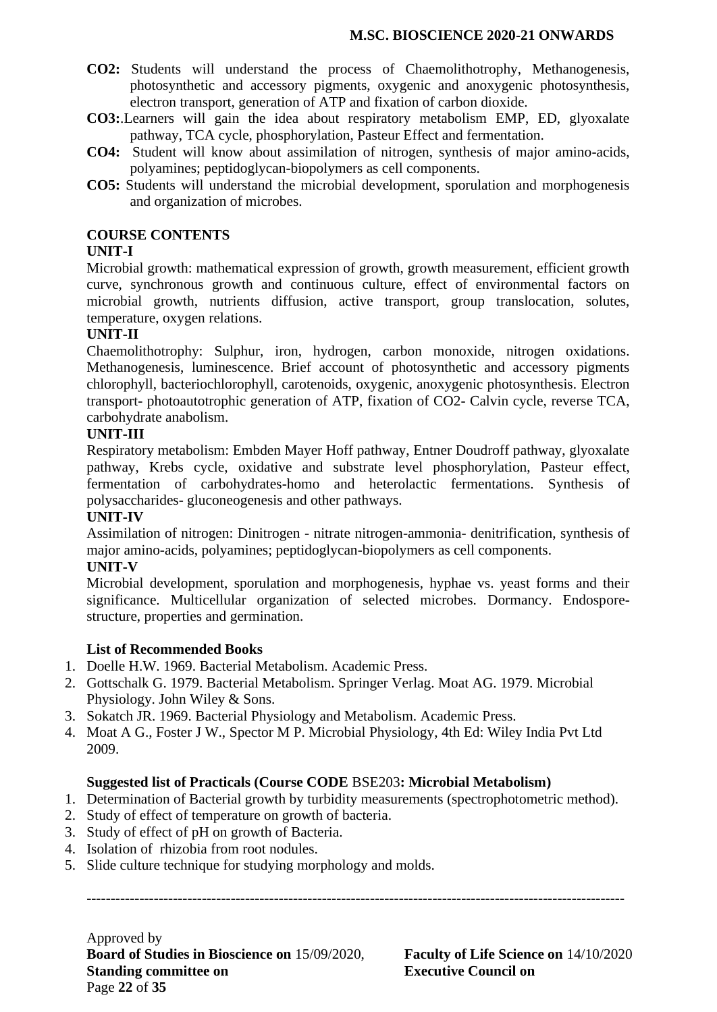- **CO2:** Students will understand the process of Chaemolithotrophy, Methanogenesis, photosynthetic and accessory pigments, oxygenic and anoxygenic photosynthesis, electron transport, generation of ATP and fixation of carbon dioxide.
- **CO3:**.Learners will gain the idea about respiratory metabolism EMP, ED, glyoxalate pathway, TCA cycle, phosphorylation, Pasteur Effect and fermentation.
- **CO4:** Student will know about assimilation of nitrogen, synthesis of major amino-acids, polyamines; peptidoglycan-biopolymers as cell components.
- **CO5:** Students will understand the microbial development, sporulation and morphogenesis and organization of microbes.

#### **COURSE CONTENTS**

#### **UNIT-I**

Microbial growth: mathematical expression of growth, growth measurement, efficient growth curve, synchronous growth and continuous culture, effect of environmental factors on microbial growth, nutrients diffusion, active transport, group translocation, solutes, temperature, oxygen relations.

#### **UNIT-II**

Chaemolithotrophy: Sulphur, iron, hydrogen, carbon monoxide, nitrogen oxidations. Methanogenesis, luminescence. Brief account of photosynthetic and accessory pigments chlorophyll, bacteriochlorophyll, carotenoids, oxygenic, anoxygenic photosynthesis. Electron transport- photoautotrophic generation of ATP, fixation of CO2- Calvin cycle, reverse TCA, carbohydrate anabolism.

#### **UNIT-III**

Respiratory metabolism: Embden Mayer Hoff pathway, Entner Doudroff pathway, glyoxalate pathway, Krebs cycle, oxidative and substrate level phosphorylation, Pasteur effect, fermentation of carbohydrates-homo and heterolactic fermentations. Synthesis of polysaccharides- gluconeogenesis and other pathways.

#### **UNIT-IV**

Assimilation of nitrogen: Dinitrogen - nitrate nitrogen-ammonia- denitrification, synthesis of major amino-acids, polyamines; peptidoglycan-biopolymers as cell components.

### **UNIT-V**

Microbial development, sporulation and morphogenesis, hyphae vs. yeast forms and their significance. Multicellular organization of selected microbes. Dormancy. Endosporestructure, properties and germination.

### **List of Recommended Books**

- 1. Doelle H.W. 1969. Bacterial Metabolism. Academic Press.
- 2. Gottschalk G. 1979. Bacterial Metabolism. Springer Verlag. Moat AG. 1979. Microbial Physiology. John Wiley & Sons.
- 3. Sokatch JR. 1969. Bacterial Physiology and Metabolism. Academic Press.
- 4. Moat A G., Foster J W., Spector M P. Microbial Physiology, 4th Ed: Wiley India Pvt Ltd 2009.

### **Suggested list of Practicals (Course CODE** BSE203**: Microbial Metabolism)**

- 1. Determination of Bacterial growth by turbidity measurements (spectrophotometric method).
- 2. Study of effect of temperature on growth of bacteria.
- 3. Study of effect of pH on growth of Bacteria.
- 4. Isolation of rhizobia from root nodules.
- 5. Slide culture technique for studying morphology and molds.

**----------------------------------------------------------------------------------------------------------------**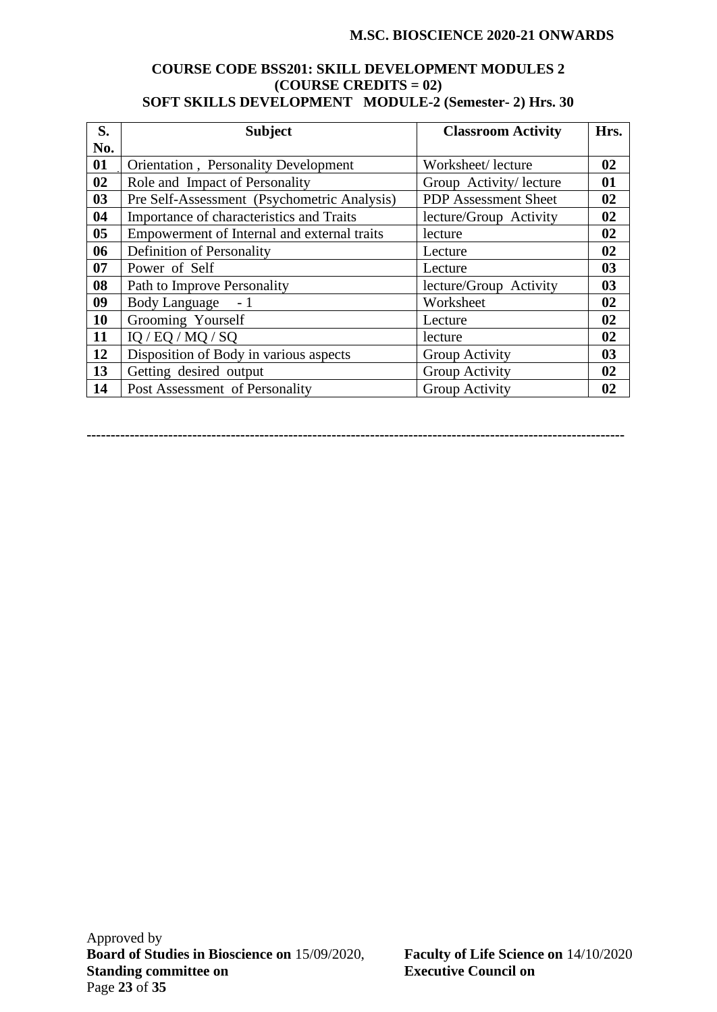#### **COURSE CODE BSS201: SKILL DEVELOPMENT MODULES 2 (COURSE CREDITS = 02) SOFT SKILLS DEVELOPMENT MODULE-2 (Semester- 2) Hrs. 30**

| S.             | <b>Subject</b>                               | <b>Classroom Activity</b>   | Hrs.           |
|----------------|----------------------------------------------|-----------------------------|----------------|
| No.            |                                              |                             |                |
| 01             | <b>Orientation</b> , Personality Development | Worksheet/lecture           | 02             |
| 02             | Role and Impact of Personality               | Group Activity/lecture      | 01             |
| 03             | Pre Self-Assessment (Psychometric Analysis)  | <b>PDP</b> Assessment Sheet | 02             |
| 04             | Importance of characteristics and Traits     | lecture/Group Activity      | 02             |
| 0 <sub>5</sub> | Empowerment of Internal and external traits  | lecture                     | 02             |
| 06             | Definition of Personality                    | Lecture                     | 02             |
| 07             | Power of Self                                | Lecture                     | 0 <sub>3</sub> |
| 08             | Path to Improve Personality                  | lecture/Group Activity      | 0 <sub>3</sub> |
| 09             | <b>Body Language</b><br>$-1$                 | Worksheet                   | 02             |
| 10             | Grooming Yourself                            | Lecture                     | 02             |
| 11             | IQ / EQ / MQ / SQ                            | lecture                     | 02             |
| 12             | Disposition of Body in various aspects       | Group Activity              | 0 <sub>3</sub> |
| 13             | Getting desired output                       | Group Activity              | 02             |
| 14             | Post Assessment of Personality               | Group Activity              | 02             |

**----------------------------------------------------------------------------------------------------------------**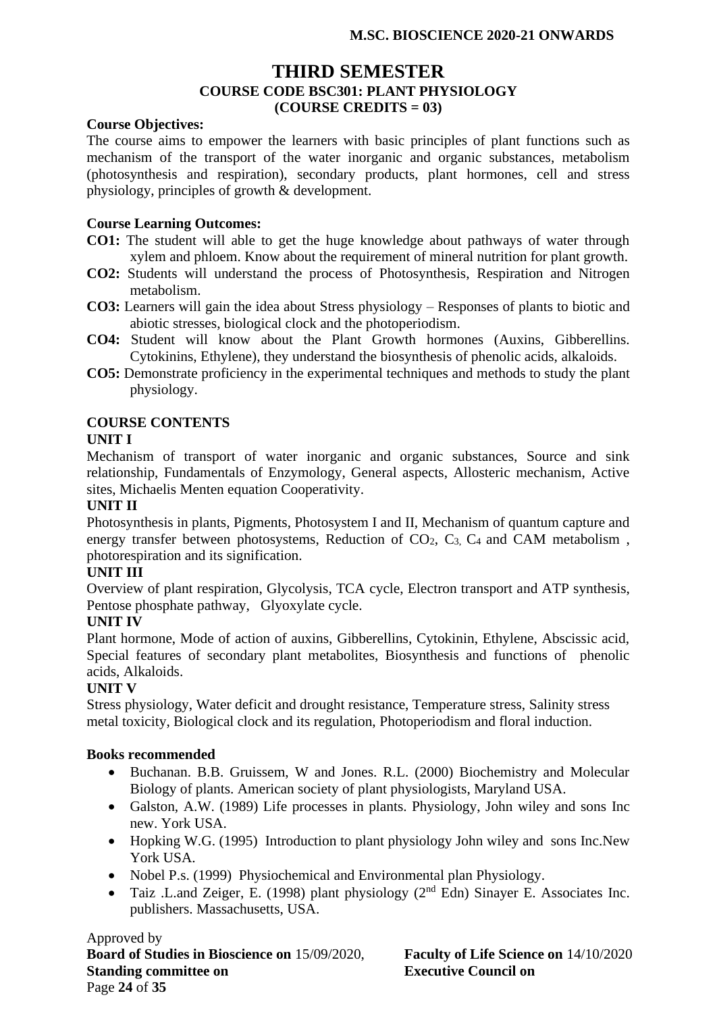# **THIRD SEMESTER COURSE CODE BSC301: PLANT PHYSIOLOGY (COURSE CREDITS = 03)**

#### **Course Objectives:**

The course aims to empower the learners with basic principles of plant functions such as mechanism of the transport of the water inorganic and organic substances, metabolism (photosynthesis and respiration), secondary products, plant hormones, cell and stress physiology, principles of growth & development.

#### **Course Learning Outcomes:**

- **CO1:** The student will able to get the huge knowledge about pathways of water through xylem and phloem. Know about the requirement of mineral nutrition for plant growth.
- **CO2:** Students will understand the process of Photosynthesis, Respiration and Nitrogen metabolism.
- **CO3:** Learners will gain the idea about Stress physiology Responses of plants to biotic and abiotic stresses, biological clock and the photoperiodism.
- **CO4:** Student will know about the Plant Growth hormones (Auxins, Gibberellins. Cytokinins, Ethylene), they understand the biosynthesis of phenolic acids, alkaloids.
- **CO5:** Demonstrate proficiency in the experimental techniques and methods to study the plant physiology.

#### **COURSE CONTENTS**

#### **UNIT I**

Mechanism of transport of water inorganic and organic substances, Source and sink relationship, Fundamentals of Enzymology, General aspects, Allosteric mechanism, Active sites, Michaelis Menten equation Cooperativity.

#### **UNIT II**

Photosynthesis in plants, Pigments, Photosystem I and II, Mechanism of quantum capture and energy transfer between photosystems, Reduction of  $CO<sub>2</sub>$ ,  $C<sub>3</sub>$ ,  $C<sub>4</sub>$  and CAM metabolism, photorespiration and its signification.

#### **UNIT III**

Overview of plant respiration, Glycolysis, TCA cycle, Electron transport and ATP synthesis, Pentose phosphate pathway, Glyoxylate cycle.

#### **UNIT IV**

Plant hormone, Mode of action of auxins, Gibberellins, Cytokinin, Ethylene, Abscissic acid, Special features of secondary plant metabolites, Biosynthesis and functions of phenolic acids, Alkaloids.

#### **UNIT V**

Stress physiology, Water deficit and drought resistance, Temperature stress, Salinity stress metal toxicity, Biological clock and its regulation, Photoperiodism and floral induction.

#### **Books recommended**

- Buchanan. B.B. Gruissem, W and Jones. R.L. (2000) Biochemistry and Molecular Biology of plants. American society of plant physiologists, Maryland USA.
- Galston, A.W. (1989) Life processes in plants. Physiology, John wiley and sons Inc new. York USA.
- Hopking W.G. (1995) Introduction to plant physiology John wiley and sons Inc.New York USA.
- Nobel P.s. (1999) Physiochemical and Environmental plan Physiology.
- Taiz .L.and Zeiger, E. (1998) plant physiology ( $2<sup>nd</sup>$  Edn) Sinayer E. Associates Inc. publishers. Massachusetts, USA.

Approved by **Board of Studies in Bioscience on** 15/09/2020, **Faculty of Life Science on** 14/10/2020 **Standing committee on Executive Council on** Page **24** of **35**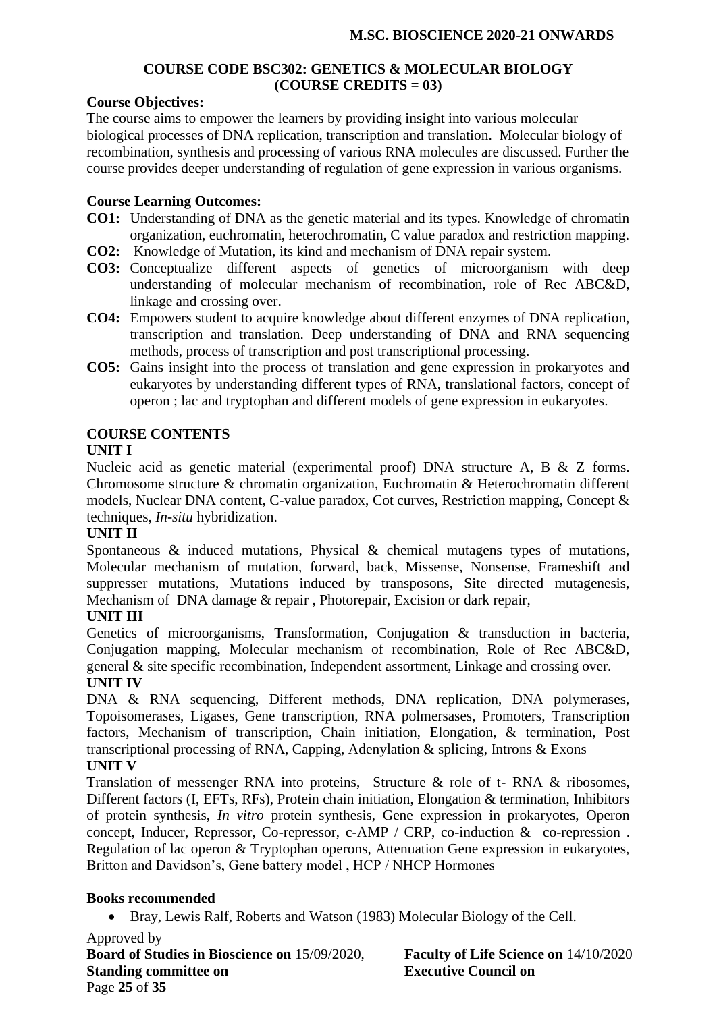#### **COURSE CODE BSC302: GENETICS & MOLECULAR BIOLOGY (COURSE CREDITS = 03)**

#### **Course Objectives:**

The course aims to empower the learners by providing insight into various molecular biological processes of DNA replication, transcription and translation. Molecular biology of recombination, synthesis and processing of various RNA molecules are discussed. Further the course provides deeper understanding of regulation of gene expression in various organisms.

#### **Course Learning Outcomes:**

- **CO1:** Understanding of DNA as the genetic material and its types. Knowledge of chromatin organization, euchromatin, heterochromatin, C value paradox and restriction mapping.
- **CO2:** Knowledge of Mutation, its kind and mechanism of DNA repair system.
- **CO3:** Conceptualize different aspects of genetics of microorganism with deep understanding of molecular mechanism of recombination, role of Rec ABC&D, linkage and crossing over.
- **CO4:** Empowers student to acquire knowledge about different enzymes of DNA replication, transcription and translation. Deep understanding of DNA and RNA sequencing methods, process of transcription and post transcriptional processing.
- **CO5:** Gains insight into the process of translation and gene expression in prokaryotes and eukaryotes by understanding different types of RNA, translational factors, concept of operon ; lac and tryptophan and different models of gene expression in eukaryotes.

### **COURSE CONTENTS**

#### **UNIT I**

Nucleic acid as genetic material (experimental proof) DNA structure A, B & Z forms. Chromosome structure & chromatin organization, Euchromatin & Heterochromatin different models, Nuclear DNA content, C-value paradox, Cot curves, Restriction mapping, Concept & techniques, *In-situ* hybridization.

#### **UNIT II**

Spontaneous & induced mutations, Physical & chemical mutagens types of mutations, Molecular mechanism of mutation, forward, back, Missense, Nonsense, Frameshift and suppresser mutations, Mutations induced by transposons, Site directed mutagenesis, Mechanism of DNA damage & repair , Photorepair, Excision or dark repair,

#### **UNIT III**

Genetics of microorganisms, Transformation, Conjugation & transduction in bacteria, Conjugation mapping, Molecular mechanism of recombination, Role of Rec ABC&D, general & site specific recombination, Independent assortment, Linkage and crossing over.

### **UNIT IV**

DNA & RNA sequencing, Different methods, DNA replication, DNA polymerases, Topoisomerases, Ligases, Gene transcription, RNA polmersases, Promoters, Transcription factors, Mechanism of transcription, Chain initiation, Elongation, & termination, Post transcriptional processing of RNA, Capping, Adenylation & splicing, Introns & Exons **UNIT V**

# Translation of messenger RNA into proteins, Structure & role of t- RNA & ribosomes, Different factors (I, EFTs, RFs), Protein chain initiation, Elongation & termination, Inhibitors of protein synthesis, *In vitro* protein synthesis, Gene expression in prokaryotes, Operon concept, Inducer, Repressor, Co-repressor, c-AMP / CRP, co-induction & co-repression . Regulation of lac operon & Tryptophan operons, Attenuation Gene expression in eukaryotes,

### Britton and Davidson's, Gene battery model , HCP / NHCP Hormones

### **Books recommended**

• Bray, Lewis Ralf, Roberts and Watson (1983) Molecular Biology of the Cell.

Approved by **Board of Studies in Bioscience on** 15/09/2020, **Faculty of Life Science on** 14/10/2020 **Standing committee on Executive Council on** Page **25** of **35**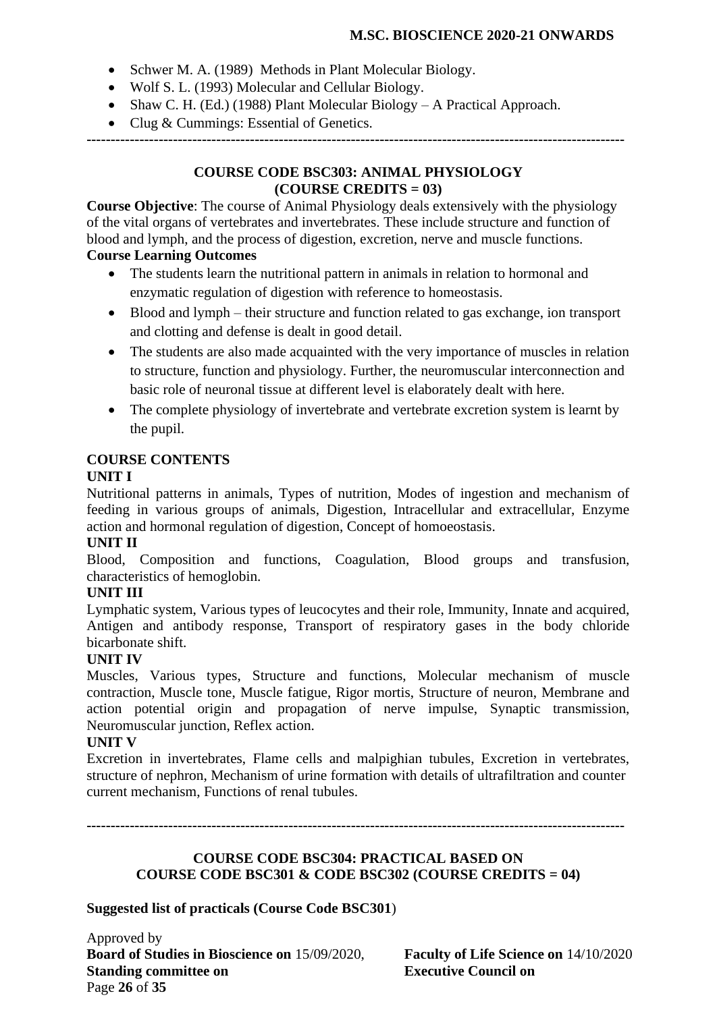- Schwer M. A. (1989) Methods in Plant Molecular Biology.
- Wolf S. L. (1993) Molecular and Cellular Biology.
- Shaw C. H. (Ed.) (1988) Plant Molecular Biology A Practical Approach.
- Clug & Cummings: Essential of Genetics.

**----------------------------------------------------------------------------------------------------------------**

#### **COURSE CODE BSC303: ANIMAL PHYSIOLOGY (COURSE CREDITS = 03)**

**Course Objective**: The course of Animal Physiology deals extensively with the physiology of the vital organs of vertebrates and invertebrates. These include structure and function of blood and lymph, and the process of digestion, excretion, nerve and muscle functions.

# **Course Learning Outcomes**

- The students learn the nutritional pattern in animals in relation to hormonal and enzymatic regulation of digestion with reference to homeostasis.
- Blood and lymph their structure and function related to gas exchange, ion transport and clotting and defense is dealt in good detail.
- The students are also made acquainted with the very importance of muscles in relation to structure, function and physiology. Further, the neuromuscular interconnection and basic role of neuronal tissue at different level is elaborately dealt with here.
- The complete physiology of invertebrate and vertebrate excretion system is learnt by the pupil.

# **COURSE CONTENTS**

### **UNIT I**

Nutritional patterns in animals, Types of nutrition, Modes of ingestion and mechanism of feeding in various groups of animals, Digestion, Intracellular and extracellular, Enzyme action and hormonal regulation of digestion, Concept of homoeostasis.

### **UNIT II**

Blood, Composition and functions, Coagulation, Blood groups and transfusion, characteristics of hemoglobin.

# **UNIT III**

Lymphatic system, Various types of leucocytes and their role, Immunity, Innate and acquired, Antigen and antibody response, Transport of respiratory gases in the body chloride bicarbonate shift.

### **UNIT IV**

Muscles, Various types, Structure and functions, Molecular mechanism of muscle contraction, Muscle tone, Muscle fatigue, Rigor mortis, Structure of neuron, Membrane and action potential origin and propagation of nerve impulse, Synaptic transmission, Neuromuscular junction, Reflex action.

### **UNIT V**

Excretion in invertebrates, Flame cells and malpighian tubules, Excretion in vertebrates, structure of nephron, Mechanism of urine formation with details of ultrafiltration and counter current mechanism, Functions of renal tubules.

**----------------------------------------------------------------------------------------------------------------**

#### **COURSE CODE BSC304: PRACTICAL BASED ON COURSE CODE BSC301 & CODE BSC302 (COURSE CREDITS = 04)**

**Suggested list of practicals (Course Code BSC301**)

Approved by **Board of Studies in Bioscience on** 15/09/2020, **Faculty of Life Science on** 14/10/2020 **Standing committee on Executive Council on** Page **26** of **35**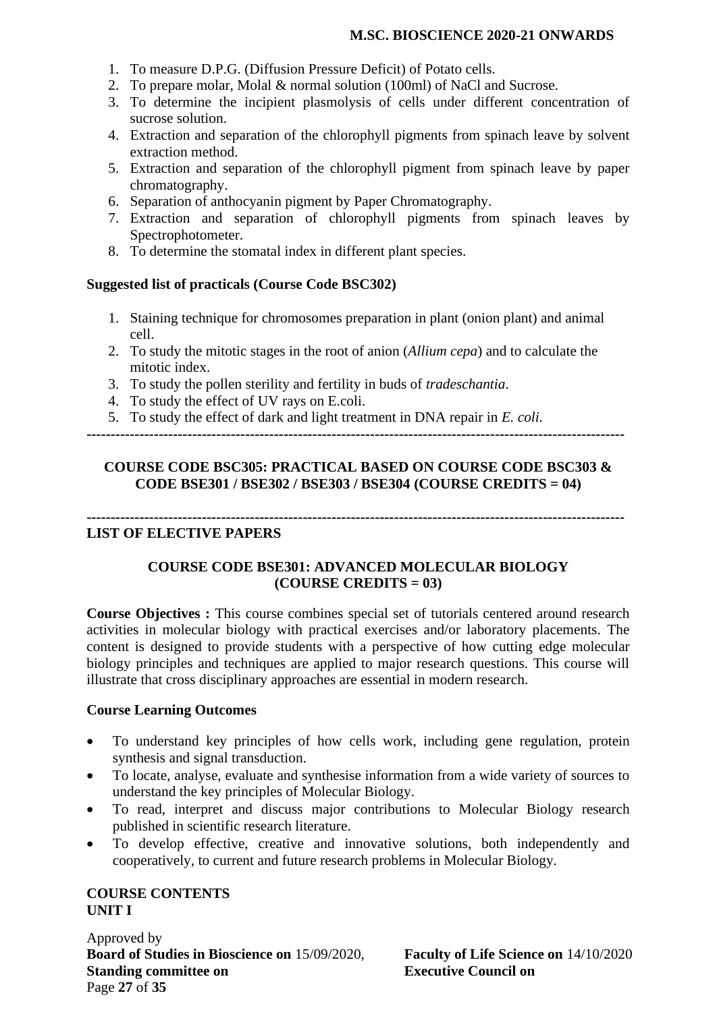- 1. To measure D.P.G. (Diffusion Pressure Deficit) of Potato cells.
- 2. To prepare molar, Molal & normal solution (100ml) of NaCl and Sucrose.
- 3. To determine the incipient plasmolysis of cells under different concentration of sucrose solution.
- 4. Extraction and separation of the chlorophyll pigments from spinach leave by solvent extraction method.
- 5. Extraction and separation of the chlorophyll pigment from spinach leave by paper chromatography.
- 6. Separation of anthocyanin pigment by Paper Chromatography.
- 7. Extraction and separation of chlorophyll pigments from spinach leaves by Spectrophotometer.
- 8. To determine the stomatal index in different plant species.

#### **Suggested list of practicals (Course Code BSC302)**

- 1. Staining technique for chromosomes preparation in plant (onion plant) and animal cell.
- 2. To study the mitotic stages in the root of anion (*Allium cepa*) and to calculate the mitotic index.
- 3. To study the pollen sterility and fertility in buds of *tradeschantia*.
- 4. To study the effect of UV rays on E.coli.
- 5. To study the effect of dark and light treatment in DNA repair in *E. coli.*

**----------------------------------------------------------------------------------------------------------------**

#### **COURSE CODE BSC305: PRACTICAL BASED ON COURSE CODE BSC303 & CODE BSE301 / BSE302 / BSE303 / BSE304 (COURSE CREDITS = 04)**

**----------------------------------------------------------------------------------------------------------------**

### **LIST OF ELECTIVE PAPERS**

# **COURSE CODE BSE301: ADVANCED MOLECULAR BIOLOGY (COURSE CREDITS = 03)**

**Course Objectives :** This course combines special set of tutorials centered around research activities in molecular biology with practical exercises and/or laboratory placements. The content is designed to provide students with a perspective of how cutting edge molecular biology principles and techniques are applied to major research questions. This course will illustrate that cross disciplinary approaches are essential in modern research.

#### **Course Learning Outcomes**

- To understand key principles of how cells work, including gene regulation, protein synthesis and signal transduction.
- To locate, analyse, evaluate and synthesise information from a wide variety of sources to understand the key principles of Molecular Biology.
- To read, interpret and discuss major contributions to Molecular Biology research published in scientific research literature.
- To develop effective, creative and innovative solutions, both independently and cooperatively, to current and future research problems in Molecular Biology.

### **COURSE CONTENTS UNIT I**

Approved by **Board of Studies in Bioscience on** 15/09/2020, **Faculty of Life Science on** 14/10/2020 **Standing committee on Executive Council on** Page **27** of **35**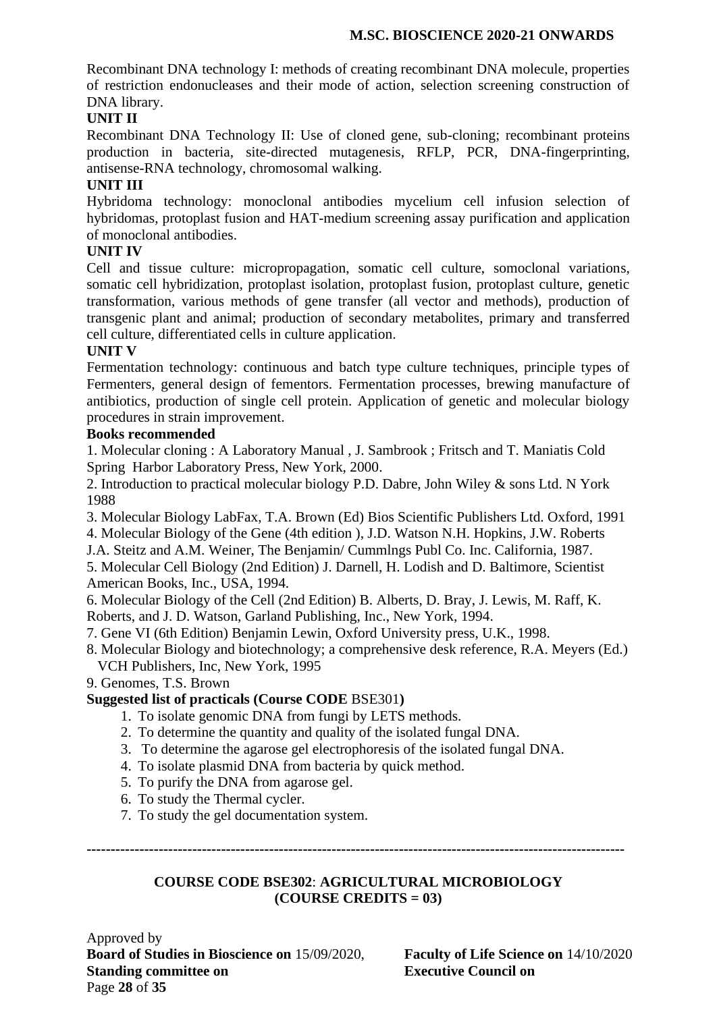Recombinant DNA technology I: methods of creating recombinant DNA molecule, properties of restriction endonucleases and their mode of action, selection screening construction of DNA library.

# **UNIT II**

Recombinant DNA Technology II: Use of cloned gene, sub-cloning; recombinant proteins production in bacteria, site-directed mutagenesis, RFLP, PCR, DNA-fingerprinting, antisense-RNA technology, chromosomal walking.

### **UNIT III**

Hybridoma technology: monoclonal antibodies mycelium cell infusion selection of hybridomas, protoplast fusion and HAT-medium screening assay purification and application of monoclonal antibodies.

### **UNIT IV**

Cell and tissue culture: micropropagation, somatic cell culture, somoclonal variations, somatic cell hybridization, protoplast isolation, protoplast fusion, protoplast culture, genetic transformation, various methods of gene transfer (all vector and methods), production of transgenic plant and animal; production of secondary metabolites, primary and transferred cell culture, differentiated cells in culture application.

### **UNIT V**

Fermentation technology: continuous and batch type culture techniques, principle types of Fermenters, general design of fementors. Fermentation processes, brewing manufacture of antibiotics, production of single cell protein. Application of genetic and molecular biology procedures in strain improvement.

### **Books recommended**

1. Molecular cloning : A Laboratory Manual , J. Sambrook ; Fritsch and T. Maniatis Cold Spring Harbor Laboratory Press, New York, 2000.

2. Introduction to practical molecular biology P.D. Dabre, John Wiley & sons Ltd. N York 1988

3. Molecular Biology LabFax, T.A. Brown (Ed) Bios Scientific Publishers Ltd. Oxford, 1991

4. Molecular Biology of the Gene (4th edition ), J.D. Watson N.H. Hopkins, J.W. Roberts

J.A. Steitz and A.M. Weiner, The Benjamin/ Cummlngs Publ Co. Inc. California, 1987.

5. Molecular Cell Biology (2nd Edition) J. Darnell, H. Lodish and D. Baltimore, Scientist American Books, Inc., USA, 1994.

6. Molecular Biology of the Cell (2nd Edition) B. Alberts, D. Bray, J. Lewis, M. Raff, K. Roberts, and J. D. Watson, Garland Publishing, Inc., New York, 1994.

- 7. Gene VI (6th Edition) Benjamin Lewin, Oxford University press, U.K., 1998.
- 8. Molecular Biology and biotechnology; a comprehensive desk reference, R.A. Meyers (Ed.) VCH Publishers, Inc, New York, 1995
- 9. Genomes, T.S. Brown

### **Suggested list of practicals (Course CODE** BSE301**)**

- 1. To isolate genomic DNA from fungi by LETS methods.
- 2. To determine the quantity and quality of the isolated fungal DNA.
- 3. To determine the agarose gel electrophoresis of the isolated fungal DNA.
- 4. To isolate plasmid DNA from bacteria by quick method.
- 5. To purify the DNA from agarose gel.
- 6. To study the Thermal cycler.
- 7. To study the gel documentation system.

**----------------------------------------------------------------------------------------------------------------**

### **COURSE CODE BSE302**: **AGRICULTURAL MICROBIOLOGY (COURSE CREDITS = 03)**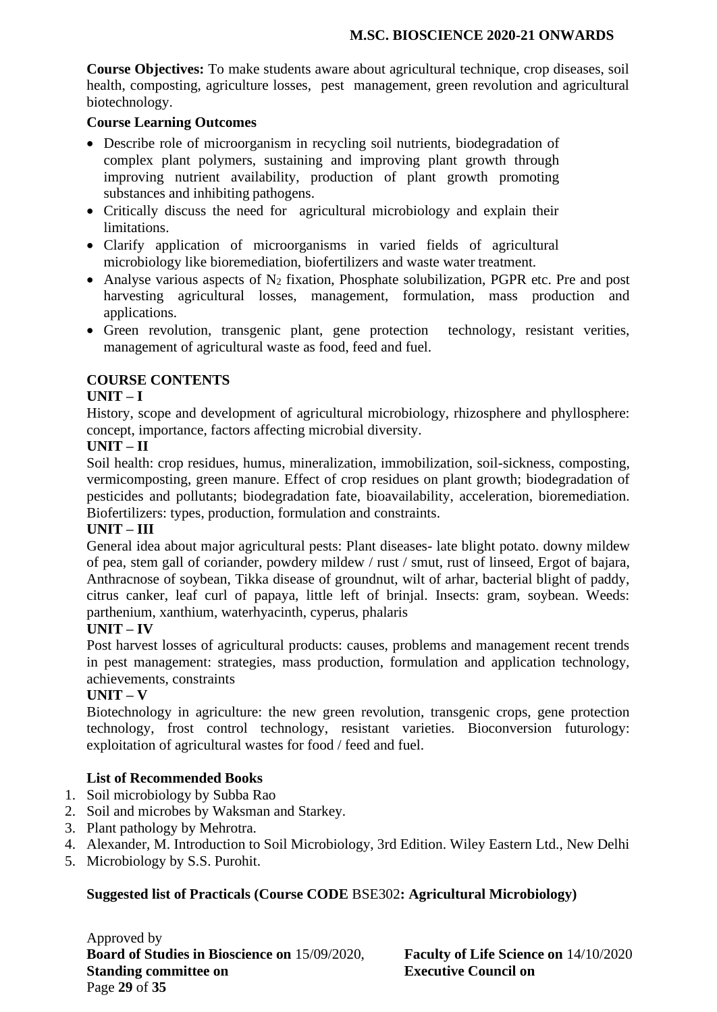**Course Objectives:** To make students aware about agricultural technique, crop diseases, soil health, composting, agriculture losses, pest management, green revolution and agricultural biotechnology.

#### **Course Learning Outcomes**

- Describe role of microorganism in recycling soil nutrients, biodegradation of complex plant polymers, sustaining and improving plant growth through improving nutrient availability, production of plant growth promoting substances and inhibiting pathogens.
- Critically discuss the need for agricultural microbiology and explain their limitations.
- Clarify application of microorganisms in varied fields of agricultural microbiology like bioremediation, biofertilizers and waste water treatment.
- Analyse various aspects of  $N_2$  fixation, Phosphate solubilization, PGPR etc. Pre and post harvesting agricultural losses, management, formulation, mass production and applications.
- Green revolution, transgenic plant, gene protection technology, resistant verities, management of agricultural waste as food, feed and fuel.

### **COURSE CONTENTS**

#### **UNIT – I**

History, scope and development of agricultural microbiology, rhizosphere and phyllosphere: concept, importance, factors affecting microbial diversity.

#### **UNIT – II**

Soil health: crop residues, humus, mineralization, immobilization, soil-sickness, composting, vermicomposting, green manure. Effect of crop residues on plant growth; biodegradation of pesticides and pollutants; biodegradation fate, bioavailability, acceleration, bioremediation. Biofertilizers: types, production, formulation and constraints.

#### **UNIT – III**

General idea about major agricultural pests: Plant diseases- late blight potato. downy mildew of pea, stem gall of coriander, powdery mildew / rust / smut, rust of linseed, Ergot of bajara, Anthracnose of soybean, Tikka disease of groundnut, wilt of arhar, bacterial blight of paddy, citrus canker, leaf curl of papaya, little left of brinjal. Insects: gram, soybean. Weeds: parthenium, xanthium, waterhyacinth, cyperus, phalaris

#### **UNIT – IV**

Post harvest losses of agricultural products: causes, problems and management recent trends in pest management: strategies, mass production, formulation and application technology, achievements, constraints

### **UNIT – V**

Biotechnology in agriculture: the new green revolution, transgenic crops, gene protection technology, frost control technology, resistant varieties. Bioconversion futurology: exploitation of agricultural wastes for food / feed and fuel.

### **List of Recommended Books**

- 1. Soil microbiology by Subba Rao
- 2. Soil and microbes by Waksman and Starkey.
- 3. Plant pathology by Mehrotra.
- 4. Alexander, M. Introduction to Soil Microbiology, 3rd Edition. Wiley Eastern Ltd., New Delhi
- 5. Microbiology by S.S. Purohit.

### **Suggested list of Practicals (Course CODE** BSE302**: Agricultural Microbiology)**

Approved by **Board of Studies in Bioscience on** 15/09/2020, **Faculty of Life Science on** 14/10/2020 **Standing committee on Executive Council on** Page **29** of **35**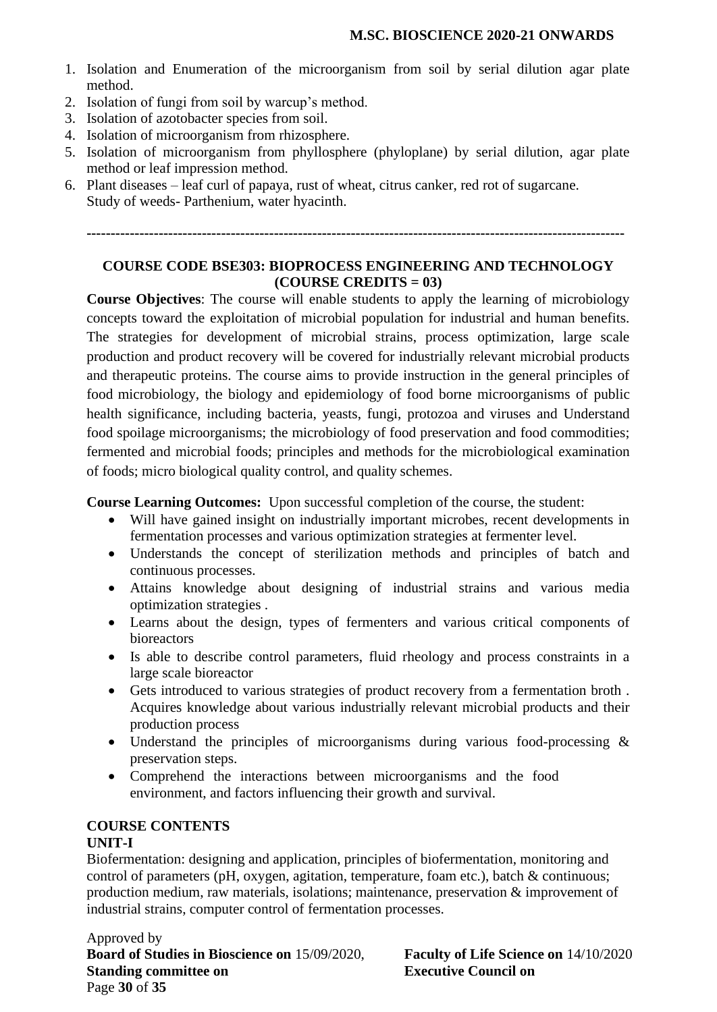- 1. Isolation and Enumeration of the microorganism from soil by serial dilution agar plate method.
- 2. Isolation of fungi from soil by warcup's method.
- 3. Isolation of azotobacter species from soil.
- 4. Isolation of microorganism from rhizosphere.
- 5. Isolation of microorganism from phyllosphere (phyloplane) by serial dilution, agar plate method or leaf impression method.
- 6. Plant diseases leaf curl of papaya, rust of wheat, citrus canker, red rot of sugarcane. Study of weeds- Parthenium, water hyacinth.

**----------------------------------------------------------------------------------------------------------------**

### **COURSE CODE BSE303: BIOPROCESS ENGINEERING AND TECHNOLOGY (COURSE CREDITS = 03)**

**Course Objectives**: The course will enable students to apply the learning of microbiology concepts toward the exploitation of microbial population for industrial and human benefits. The strategies for development of microbial strains, process optimization, large scale production and product recovery will be covered for industrially relevant microbial products and therapeutic proteins. The course aims to provide instruction in the general principles of food microbiology, the biology and epidemiology of food borne microorganisms of public health significance, including bacteria, yeasts, fungi, protozoa and viruses and Understand food spoilage microorganisms; the microbiology of food preservation and food commodities; fermented and microbial foods; principles and methods for the microbiological examination of foods; micro biological quality control, and quality schemes.

**Course Learning Outcomes:** Upon successful completion of the course, the student:

- Will have gained insight on industrially important microbes, recent developments in fermentation processes and various optimization strategies at fermenter level.
- Understands the concept of sterilization methods and principles of batch and continuous processes.
- Attains knowledge about designing of industrial strains and various media optimization strategies .
- Learns about the design, types of fermenters and various critical components of bioreactors
- Is able to describe control parameters, fluid rheology and process constraints in a large scale bioreactor
- Gets introduced to various strategies of product recovery from a fermentation broth . Acquires knowledge about various industrially relevant microbial products and their production process
- Understand the principles of microorganisms during various food-processing & preservation steps.
- Comprehend the interactions between microorganisms and the food environment, and factors influencing their growth and survival.

### **COURSE CONTENTS**

### **UNIT-I**

Biofermentation: designing and application, principles of biofermentation, monitoring and control of parameters (pH, oxygen, agitation, temperature, foam etc.), batch & continuous; production medium, raw materials, isolations; maintenance, preservation & improvement of industrial strains, computer control of fermentation processes.

Approved by **Board of Studies in Bioscience on** 15/09/2020, **Faculty of Life Science on** 14/10/2020 **Standing committee on Executive Council on** Page **30** of **35**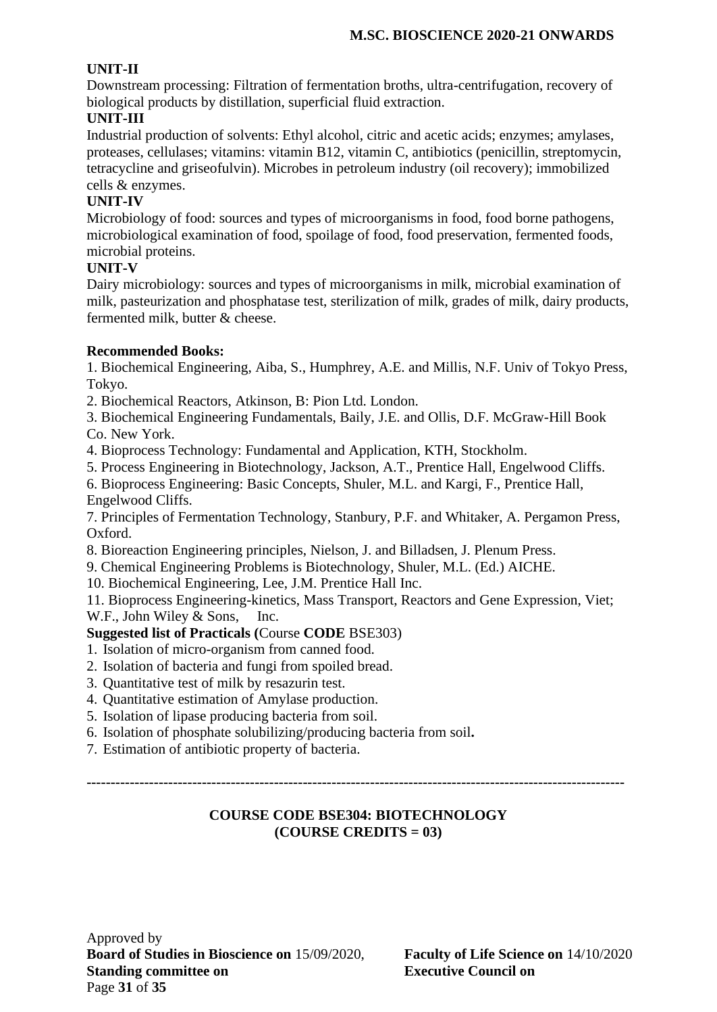# **UNIT-II**

Downstream processing: Filtration of fermentation broths, ultra-centrifugation, recovery of biological products by distillation, superficial fluid extraction.

# **UNIT-III**

Industrial production of solvents: Ethyl alcohol, citric and acetic acids; enzymes; amylases, proteases, cellulases; vitamins: vitamin B12, vitamin C, antibiotics (penicillin, streptomycin, tetracycline and griseofulvin). Microbes in petroleum industry (oil recovery); immobilized cells & enzymes.

# **UNIT-IV**

Microbiology of food: sources and types of microorganisms in food, food borne pathogens, microbiological examination of food, spoilage of food, food preservation, fermented foods, microbial proteins.

### **UNIT-V**

Dairy microbiology: sources and types of microorganisms in milk, microbial examination of milk, pasteurization and phosphatase test, sterilization of milk, grades of milk, dairy products, fermented milk, butter & cheese.

### **Recommended Books:**

1. Biochemical Engineering, Aiba, S., Humphrey, A.E. and Millis, N.F. Univ of Tokyo Press, Tokyo.

2. Biochemical Reactors, Atkinson, B: Pion Ltd. London.

3. Biochemical Engineering Fundamentals, Baily, J.E. and Ollis, D.F. McGraw-Hill Book Co. New York.

4. Bioprocess Technology: Fundamental and Application, KTH, Stockholm.

5. Process Engineering in Biotechnology, Jackson, A.T., Prentice Hall, Engelwood Cliffs.

6. Bioprocess Engineering: Basic Concepts, Shuler, M.L. and Kargi, F., Prentice Hall, Engelwood Cliffs.

7. Principles of Fermentation Technology, Stanbury, P.F. and Whitaker, A. Pergamon Press, Oxford.

8. Bioreaction Engineering principles, Nielson, J. and Billadsen, J. Plenum Press.

9. Chemical Engineering Problems is Biotechnology, Shuler, M.L. (Ed.) AICHE.

10. Biochemical Engineering, Lee, J.M. Prentice Hall Inc.

11. Bioprocess Engineering-kinetics, Mass Transport, Reactors and Gene Expression, Viet; W.F., John Wiley & Sons, Inc.

# **Suggested list of Practicals (**Course **CODE** BSE303)

- 1. Isolation of micro-organism from canned food.
- 2. Isolation of bacteria and fungi from spoiled bread.
- 3. Quantitative test of milk by resazurin test.
- 4. Quantitative estimation of Amylase production.
- 5. Isolation of lipase producing bacteria from soil.
- 6. Isolation of phosphate solubilizing/producing bacteria from soil**.**
- 7. Estimation of antibiotic property of bacteria.

**----------------------------------------------------------------------------------------------------------------**

### **COURSE CODE BSE304: BIOTECHNOLOGY (COURSE CREDITS = 03)**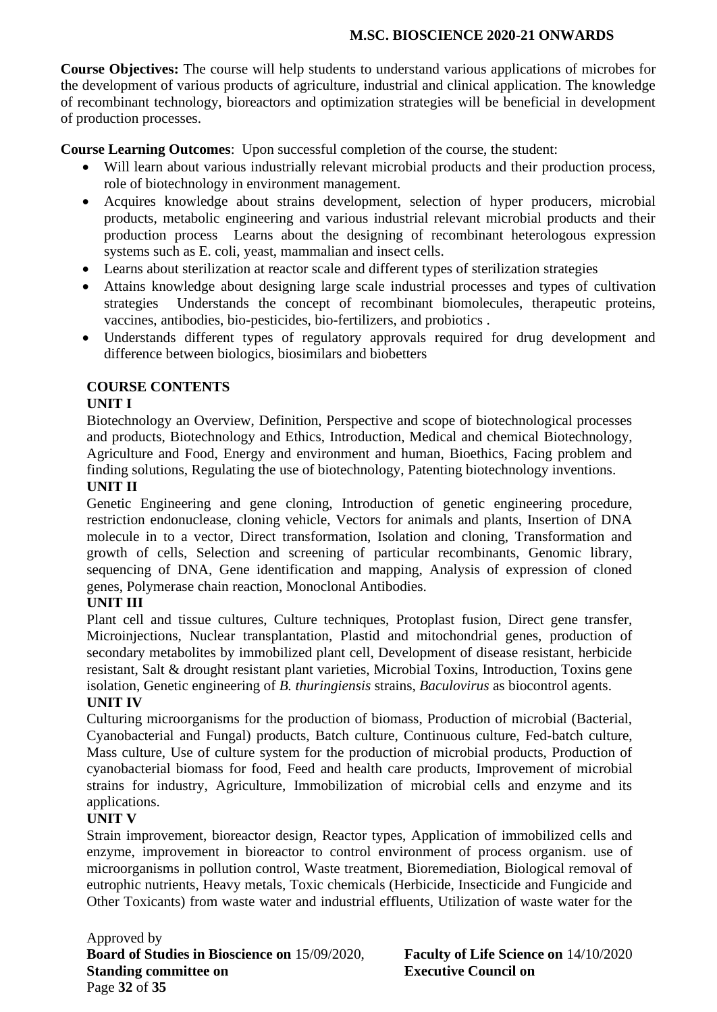**Course Objectives:** The course will help students to understand various applications of microbes for the development of various products of agriculture, industrial and clinical application. The knowledge of recombinant technology, bioreactors and optimization strategies will be beneficial in development of production processes.

**Course Learning Outcomes**: Upon successful completion of the course, the student:

- Will learn about various industrially relevant microbial products and their production process, role of biotechnology in environment management.
- Acquires knowledge about strains development, selection of hyper producers, microbial products, metabolic engineering and various industrial relevant microbial products and their production process Learns about the designing of recombinant heterologous expression systems such as E. coli, yeast, mammalian and insect cells.
- Learns about sterilization at reactor scale and different types of sterilization strategies
- Attains knowledge about designing large scale industrial processes and types of cultivation strategies Understands the concept of recombinant biomolecules, therapeutic proteins, vaccines, antibodies, bio-pesticides, bio-fertilizers, and probiotics .
- Understands different types of regulatory approvals required for drug development and difference between biologics, biosimilars and biobetters

# **COURSE CONTENTS**

### **UNIT I**

Biotechnology an Overview, Definition, Perspective and scope of biotechnological processes and products, Biotechnology and Ethics, Introduction, Medical and chemical Biotechnology, Agriculture and Food, Energy and environment and human, Bioethics, Facing problem and finding solutions, Regulating the use of biotechnology, Patenting biotechnology inventions. **UNIT II**

Genetic Engineering and gene cloning, Introduction of genetic engineering procedure, restriction endonuclease, cloning vehicle, Vectors for animals and plants, Insertion of DNA molecule in to a vector, Direct transformation, Isolation and cloning, Transformation and growth of cells, Selection and screening of particular recombinants, Genomic library, sequencing of DNA, Gene identification and mapping, Analysis of expression of cloned genes, Polymerase chain reaction, Monoclonal Antibodies.

# **UNIT III**

Plant cell and tissue cultures, Culture techniques, Protoplast fusion, Direct gene transfer, Microinjections, Nuclear transplantation, Plastid and mitochondrial genes, production of secondary metabolites by immobilized plant cell, Development of disease resistant, herbicide resistant, Salt & drought resistant plant varieties, Microbial Toxins, Introduction, Toxins gene isolation, Genetic engineering of *B. thuringiensis* strains, *Baculovirus* as biocontrol agents.

### **UNIT IV**

Culturing microorganisms for the production of biomass, Production of microbial (Bacterial, Cyanobacterial and Fungal) products, Batch culture, Continuous culture, Fed-batch culture, Mass culture, Use of culture system for the production of microbial products, Production of cyanobacterial biomass for food, Feed and health care products, Improvement of microbial strains for industry, Agriculture, Immobilization of microbial cells and enzyme and its applications.

### **UNIT V**

Strain improvement, bioreactor design, Reactor types, Application of immobilized cells and enzyme, improvement in bioreactor to control environment of process organism. use of microorganisms in pollution control, Waste treatment, Bioremediation, Biological removal of eutrophic nutrients, Heavy metals, Toxic chemicals (Herbicide, Insecticide and Fungicide and Other Toxicants) from waste water and industrial effluents, Utilization of waste water for the

Approved by **Board of Studies in Bioscience on** 15/09/2020, **Faculty of Life Science on** 14/10/2020 **Standing committee on Executive Council on** Page **32** of **35**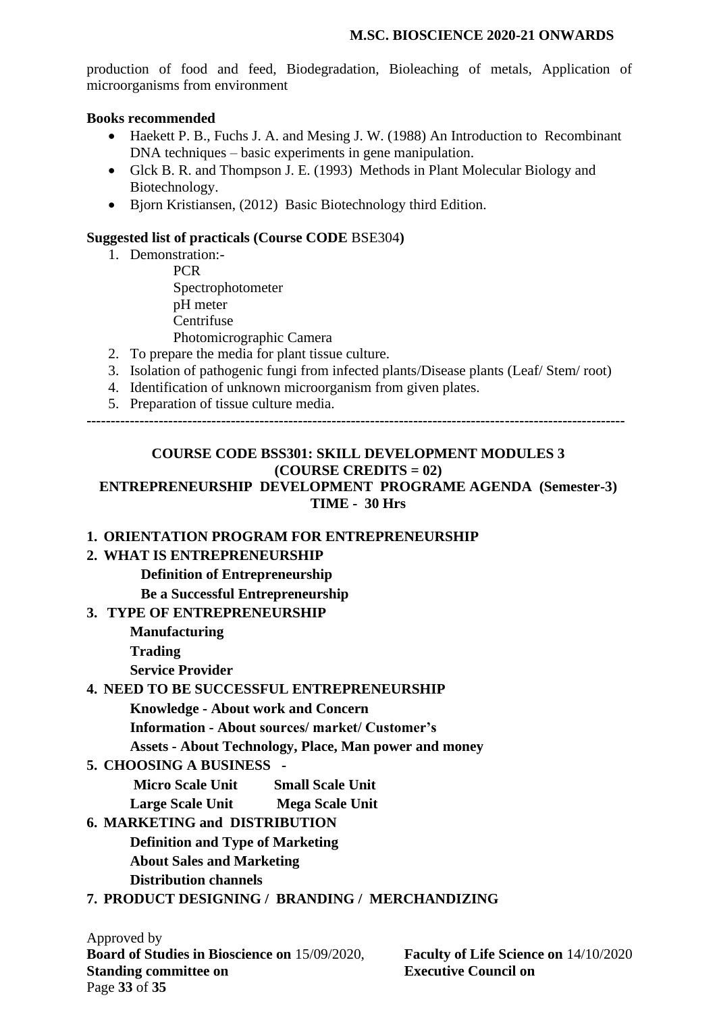production of food and feed, Biodegradation, Bioleaching of metals, Application of microorganisms from environment

#### **Books recommended**

- Haekett P. B., Fuchs J. A. and Mesing J. W. (1988) An Introduction to Recombinant DNA techniques – basic experiments in gene manipulation.
- Glck B. R. and Thompson J. E. (1993) Methods in Plant Molecular Biology and Biotechnology.
- Bjorn Kristiansen, (2012) Basic Biotechnology third Edition.

#### **Suggested list of practicals (Course CODE** BSE304**)**

- 1. Demonstration:- **PCR** Spectrophotometer pH meter **Centrifuse** Photomicrographic Camera
- 2. To prepare the media for plant tissue culture.
- 3. Isolation of pathogenic fungi from infected plants/Disease plants (Leaf/ Stem/ root)
- 4. Identification of unknown microorganism from given plates.
- 5. Preparation of tissue culture media.

**----------------------------------------------------------------------------------------------------------------**

# **COURSE CODE BSS301: SKILL DEVELOPMENT MODULES 3 (COURSE CREDITS = 02)**

## **ENTREPRENEURSHIP DEVELOPMENT PROGRAME AGENDA (Semester-3) TIME - 30 Hrs**

### **1. ORIENTATION PROGRAM FOR ENTREPRENEURSHIP**

### **2. WHAT IS ENTREPRENEURSHIP**

- **Definition of Entrepreneurship**
- **Be a Successful Entrepreneurship**

### **3. TYPE OF ENTREPRENEURSHIP**

 **Manufacturing**

 **Trading**

 **Service Provider**

### **4. NEED TO BE SUCCESSFUL ENTREPRENEURSHIP**

**Knowledge - About work and Concern**

**Information - About sources/ market/ Customer's**

**Assets - About Technology, Place, Man power and money**

### **5. CHOOSING A BUSINESS -**

**Micro Scale Unit Small Scale Unit**

**Large Scale Unit Mega Scale Unit** 

# **6. MARKETING and DISTRIBUTION**

 **Definition and Type of Marketing About Sales and Marketing**

 **Distribution channels**

### **7. PRODUCT DESIGNING / BRANDING / MERCHANDIZING**

Approved by **Board of Studies in Bioscience on** 15/09/2020, **Faculty of Life Science on** 14/10/2020 **Standing committee on Executive Council on** Page **33** of **35**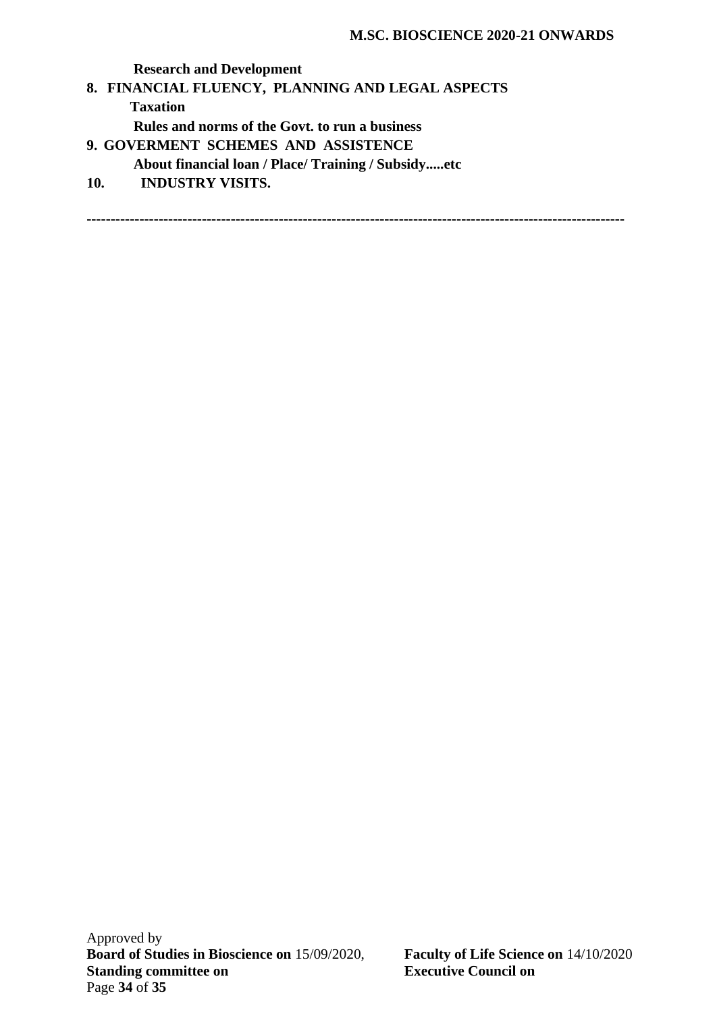**Research and Development 8. FINANCIAL FLUENCY, PLANNING AND LEGAL ASPECTS Taxation Rules and norms of the Govt. to run a business 9. GOVERMENT SCHEMES AND ASSISTENCE About financial loan / Place/ Training / Subsidy.....etc 10. INDUSTRY VISITS. ----------------------------------------------------------------------------------------------------------------**